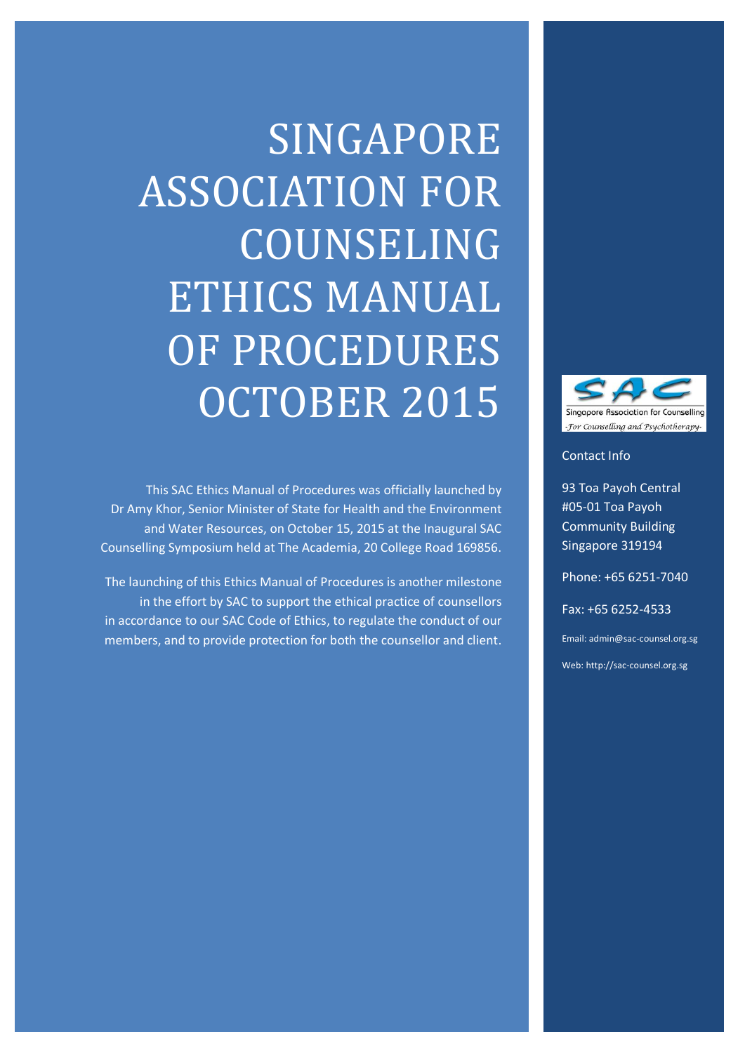# SINGAPORE ASSOCIATION FOR COUNSELING ETHICS MANUAL OF PROCEDURES OCTOBER 2015

This SAC Ethics Manual of Procedures was officially launched by Dr Amy Khor, Senior Minister of State for Health and the Environment and Water Resources, on October 15, 2015 at the Inaugural SAC Counselling Symposium held at The Academia, 20 College Road 169856.

The launching of this Ethics Manual of Procedures is another milestone in the effort by SAC to support the ethical practice of counsellors in accordance to our SAC Code of Ethics, to regulate the conduct of our members, and to provide protection for both the counsellor and client.



Contact Info

93 Toa Payoh Central #05-01 Toa Payoh Community Building Singapore 319194

Phone: +65 6251-7040

Fax: +65 6252-4533

Email: admin@sac-counsel.org.sg

Web: http://sac-counsel.org.sg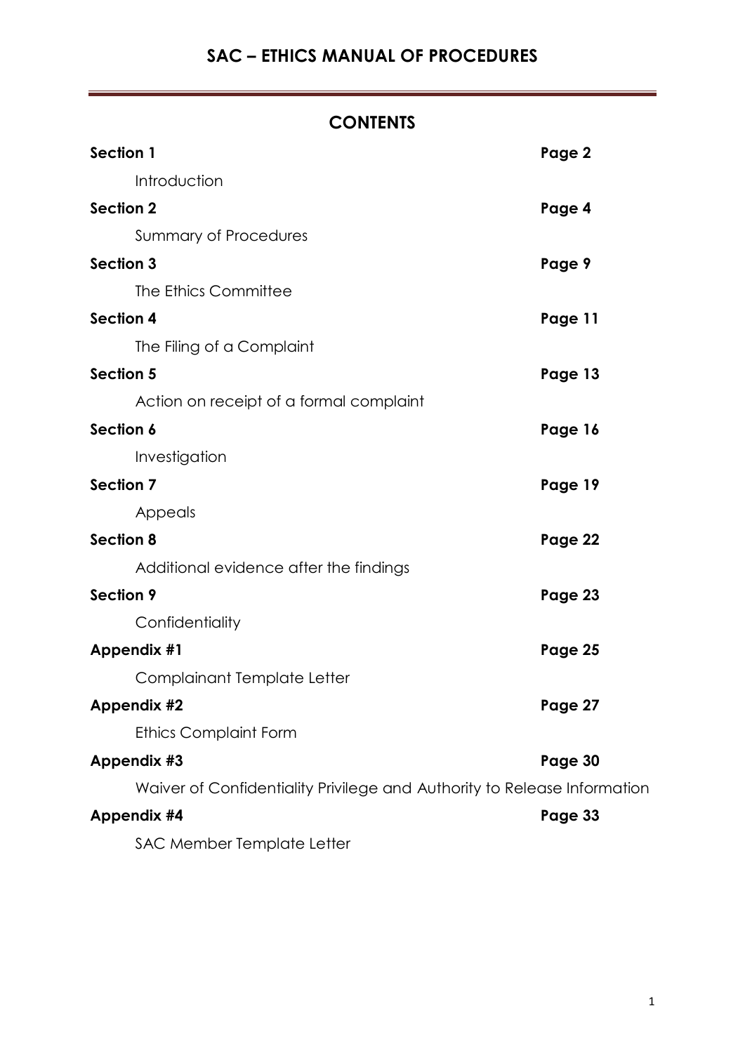# **CONTENTS**

| Section 1                                                                | Page 2  |
|--------------------------------------------------------------------------|---------|
| Introduction                                                             |         |
| <b>Section 2</b>                                                         | Page 4  |
| <b>Summary of Procedures</b>                                             |         |
| Section 3                                                                | Page 9  |
| The Ethics Committee                                                     |         |
| <b>Section 4</b>                                                         | Page 11 |
| The Filing of a Complaint                                                |         |
| <b>Section 5</b>                                                         | Page 13 |
| Action on receipt of a formal complaint                                  |         |
| Section 6                                                                | Page 16 |
| Investigation                                                            |         |
| <b>Section 7</b>                                                         | Page 19 |
| Appeals                                                                  |         |
| <b>Section 8</b>                                                         | Page 22 |
| Additional evidence after the findings                                   |         |
| Section 9                                                                | Page 23 |
| Confidentiality                                                          |         |
| Appendix #1                                                              | Page 25 |
| Complainant Template Letter                                              |         |
| <b>Appendix #2</b>                                                       | Page 27 |
| <b>Ethics Complaint Form</b>                                             |         |
| Appendix #3                                                              | Page 30 |
| Waiver of Confidentiality Privilege and Authority to Release Information |         |
| <b>Appendix #4</b>                                                       | Page 33 |
| SAC Member Template Letter                                               |         |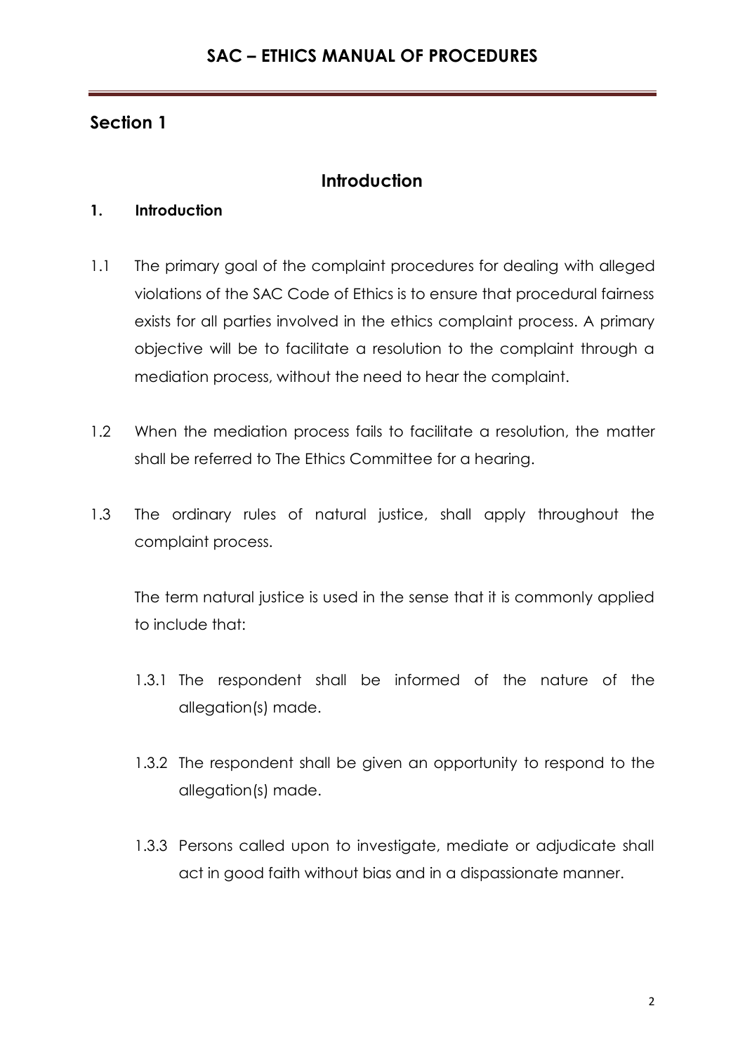# **Introduction**

## **1. Introduction**

- 1.1 The primary goal of the complaint procedures for dealing with alleged violations of the SAC Code of Ethics is to ensure that procedural fairness exists for all parties involved in the ethics complaint process. A primary objective will be to facilitate a resolution to the complaint through a mediation process, without the need to hear the complaint.
- 1.2 When the mediation process fails to facilitate a resolution, the matter shall be referred to The Ethics Committee for a hearing.
- 1.3 The ordinary rules of natural justice, shall apply throughout the complaint process.

The term natural justice is used in the sense that it is commonly applied to include that:

- 1.3.1 The respondent shall be informed of the nature of the allegation(s) made.
- 1.3.2 The respondent shall be given an opportunity to respond to the allegation(s) made.
- 1.3.3 Persons called upon to investigate, mediate or adjudicate shall act in good faith without bias and in a dispassionate manner.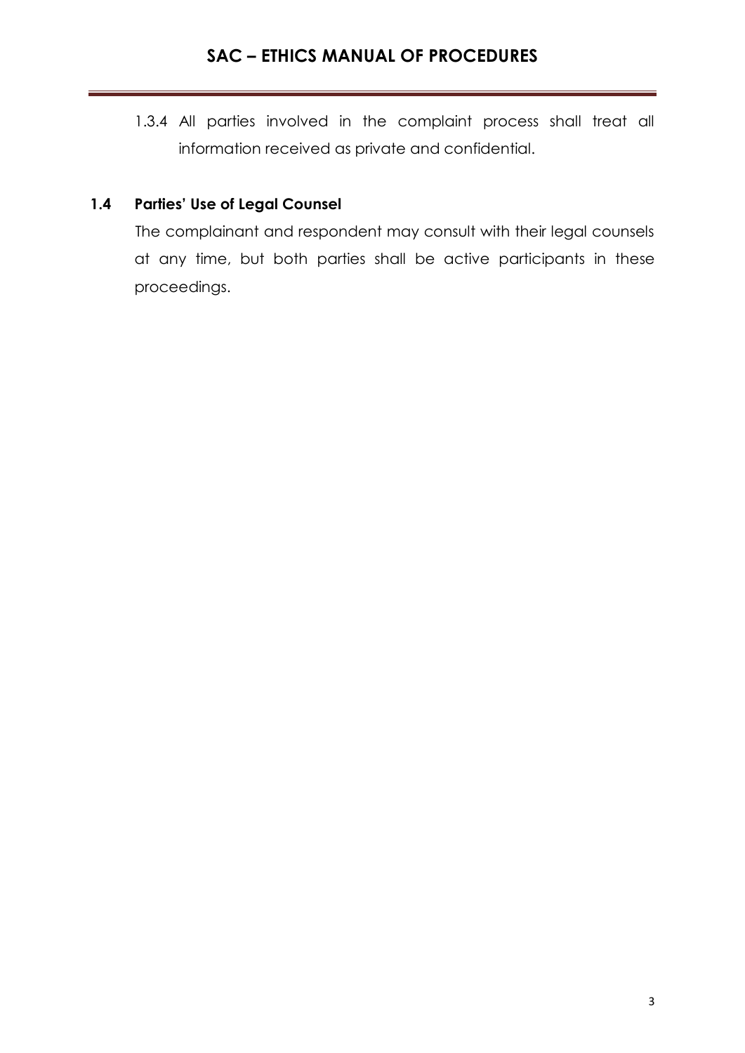1.3.4 All parties involved in the complaint process shall treat all information received as private and confidential.

# **1.4 Parties' Use of Legal Counsel**

The complainant and respondent may consult with their legal counsels at any time, but both parties shall be active participants in these proceedings.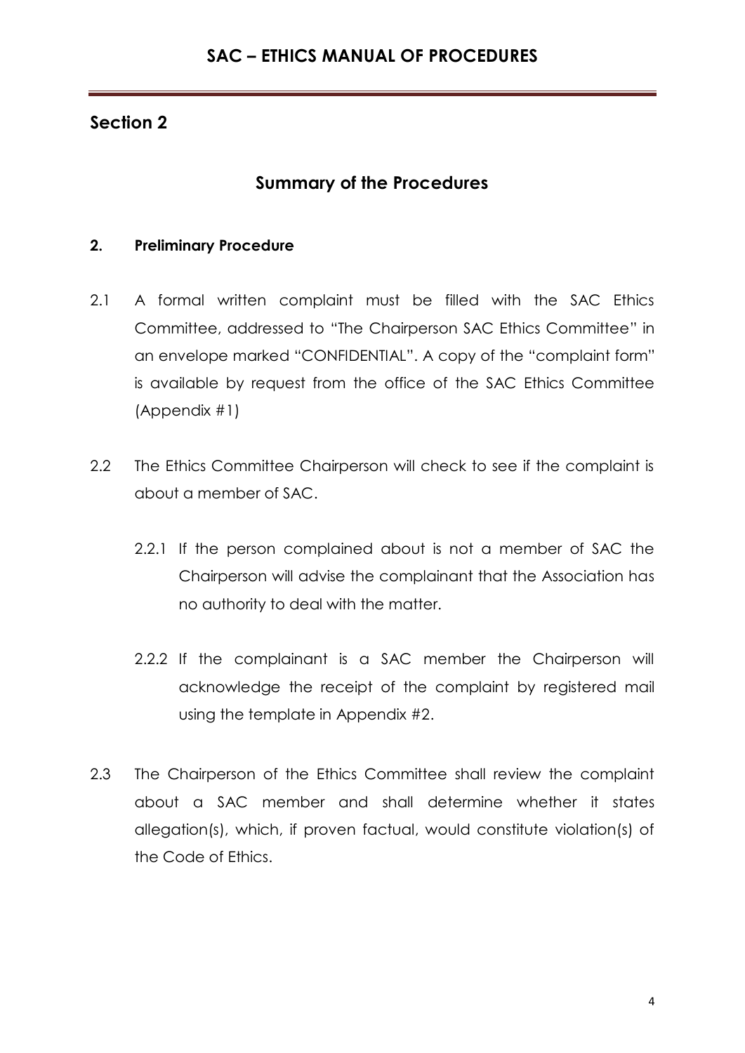# **Summary of the Procedures**

## **2. Preliminary Procedure**

- 2.1 A formal written complaint must be filled with the SAC Ethics Committee, addressed to "The Chairperson SAC Ethics Committee" in an envelope marked "CONFIDENTIAL". A copy of the "complaint form" is available by request from the office of the SAC Ethics Committee (Appendix #1)
- 2.2 The Ethics Committee Chairperson will check to see if the complaint is about a member of SAC.
	- 2.2.1 If the person complained about is not a member of SAC the Chairperson will advise the complainant that the Association has no authority to deal with the matter.
	- 2.2.2 If the complainant is a SAC member the Chairperson will acknowledge the receipt of the complaint by registered mail using the template in Appendix #2.
- 2.3 The Chairperson of the Ethics Committee shall review the complaint about a SAC member and shall determine whether it states allegation(s), which, if proven factual, would constitute violation(s) of the Code of Ethics.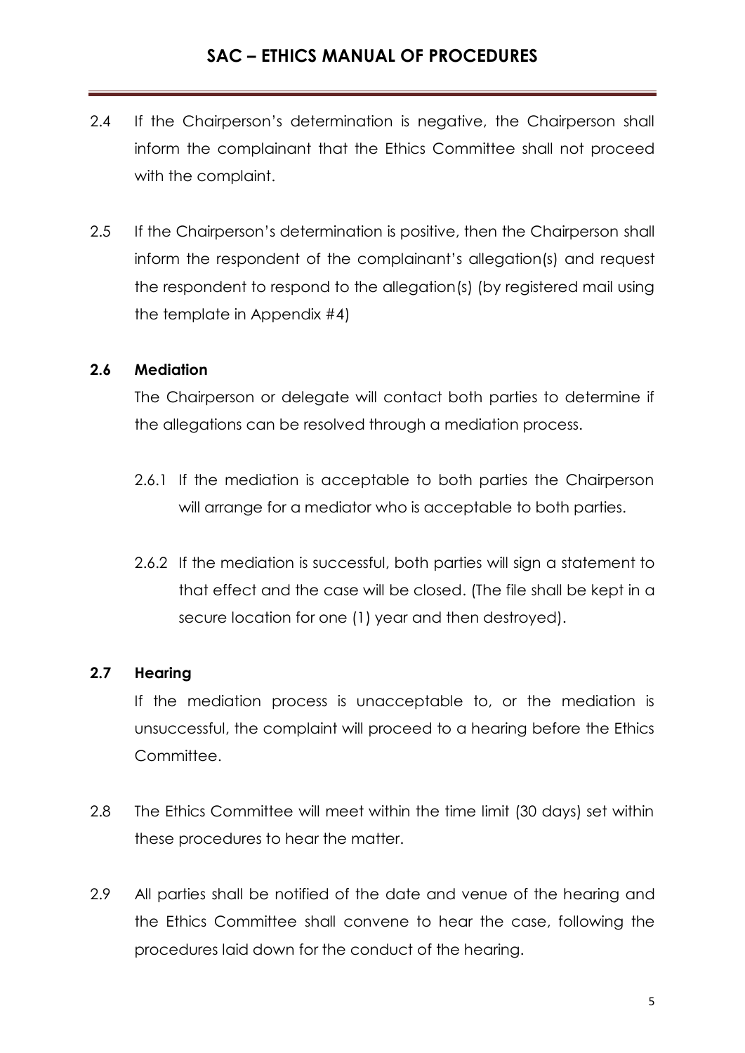- 2.4 If the Chairperson's determination is negative, the Chairperson shall inform the complainant that the Ethics Committee shall not proceed with the complaint.
- 2.5 If the Chairperson's determination is positive, then the Chairperson shall inform the respondent of the complainant's allegation(s) and request the respondent to respond to the allegation(s) (by registered mail using the template in Appendix #4)

## **2.6 Mediation**

The Chairperson or delegate will contact both parties to determine if the allegations can be resolved through a mediation process.

- 2.6.1 If the mediation is acceptable to both parties the Chairperson will arrange for a mediator who is acceptable to both parties.
- 2.6.2 If the mediation is successful, both parties will sign a statement to that effect and the case will be closed. (The file shall be kept in a secure location for one (1) year and then destroyed).

## **2.7 Hearing**

If the mediation process is unacceptable to, or the mediation is unsuccessful, the complaint will proceed to a hearing before the Ethics Committee.

- 2.8 The Ethics Committee will meet within the time limit (30 days) set within these procedures to hear the matter.
- 2.9 All parties shall be notified of the date and venue of the hearing and the Ethics Committee shall convene to hear the case, following the procedures laid down for the conduct of the hearing.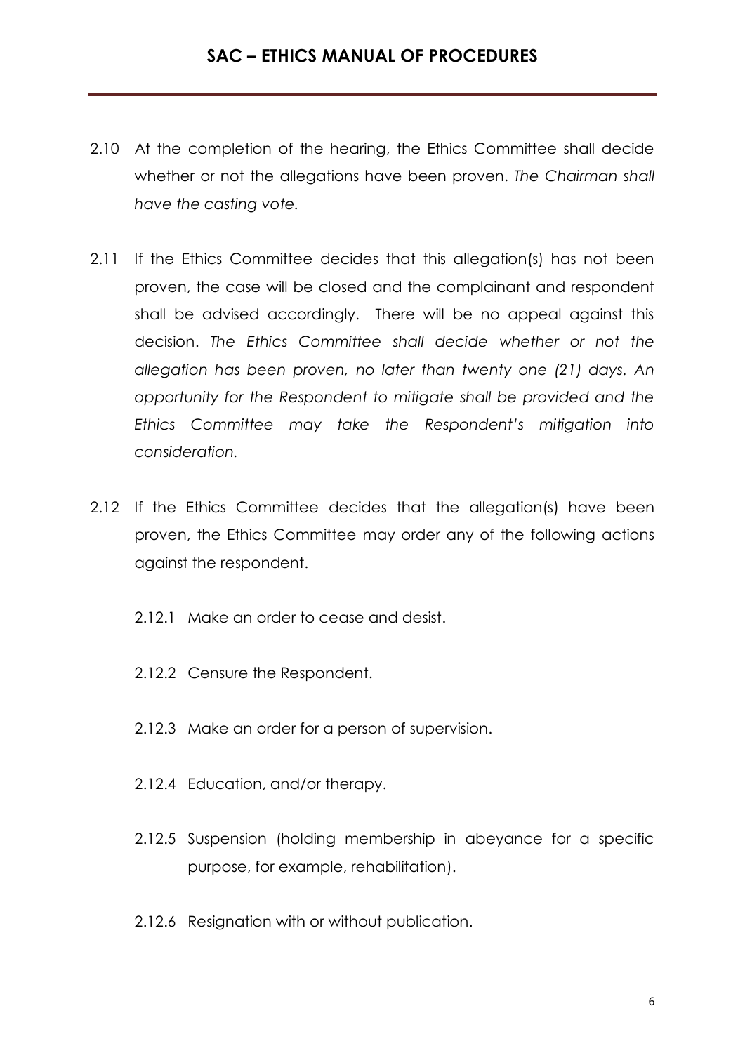- 2.10 At the completion of the hearing, the Ethics Committee shall decide whether or not the allegations have been proven. *The Chairman shall have the casting vote.*
- 2.11 If the Ethics Committee decides that this allegation(s) has not been proven, the case will be closed and the complainant and respondent shall be advised accordingly. There will be no appeal against this decision. *The Ethics Committee shall decide whether or not the allegation has been proven, no later than twenty one (21) days. An opportunity for the Respondent to mitigate shall be provided and the Ethics Committee may take the Respondent's mitigation into consideration.*
- 2.12 If the Ethics Committee decides that the allegation(s) have been proven, the Ethics Committee may order any of the following actions against the respondent.
	- 2.12.1 Make an order to cease and desist.
	- 2.12.2 Censure the Respondent.
	- 2.12.3 Make an order for a person of supervision.
	- 2.12.4 Education, and/or therapy.
	- 2.12.5 Suspension (holding membership in abeyance for a specific purpose, for example, rehabilitation).
	- 2.12.6 Resignation with or without publication.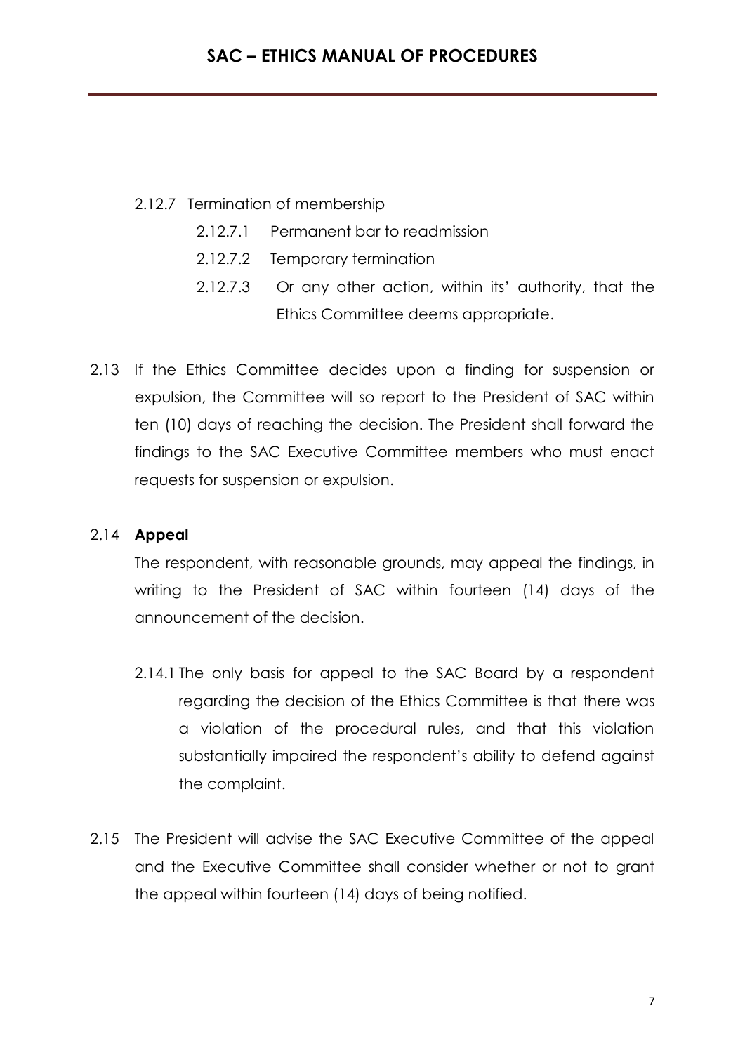- 2.12.7 Termination of membership
	- 2.12.7.1 Permanent bar to readmission
	- 2.12.7.2 Temporary termination
	- 2.12.7.3 Or any other action, within its' authority, that the Ethics Committee deems appropriate.
- 2.13 If the Ethics Committee decides upon a finding for suspension or expulsion, the Committee will so report to the President of SAC within ten (10) days of reaching the decision. The President shall forward the findings to the SAC Executive Committee members who must enact requests for suspension or expulsion.

#### 2.14 **Appeal**

The respondent, with reasonable grounds, may appeal the findings, in writing to the President of SAC within fourteen (14) days of the announcement of the decision.

- 2.14.1 The only basis for appeal to the SAC Board by a respondent regarding the decision of the Ethics Committee is that there was a violation of the procedural rules, and that this violation substantially impaired the respondent's ability to defend against the complaint.
- 2.15 The President will advise the SAC Executive Committee of the appeal and the Executive Committee shall consider whether or not to grant the appeal within fourteen (14) days of being notified.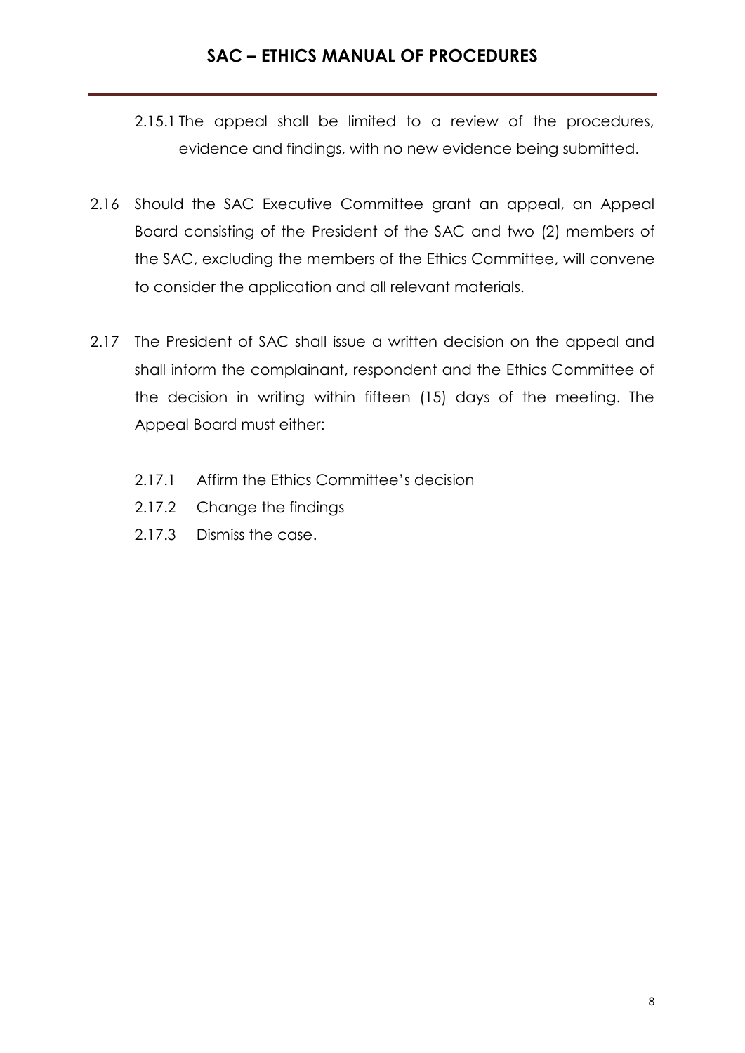- 2.15.1 The appeal shall be limited to a review of the procedures, evidence and findings, with no new evidence being submitted.
- 2.16 Should the SAC Executive Committee grant an appeal, an Appeal Board consisting of the President of the SAC and two (2) members of the SAC, excluding the members of the Ethics Committee, will convene to consider the application and all relevant materials.
- 2.17 The President of SAC shall issue a written decision on the appeal and shall inform the complainant, respondent and the Ethics Committee of the decision in writing within fifteen (15) days of the meeting. The Appeal Board must either:
	- 2.17.1 Affirm the Ethics Committee's decision
	- 2.17.2 Change the findings
	- 2.17.3 Dismiss the case.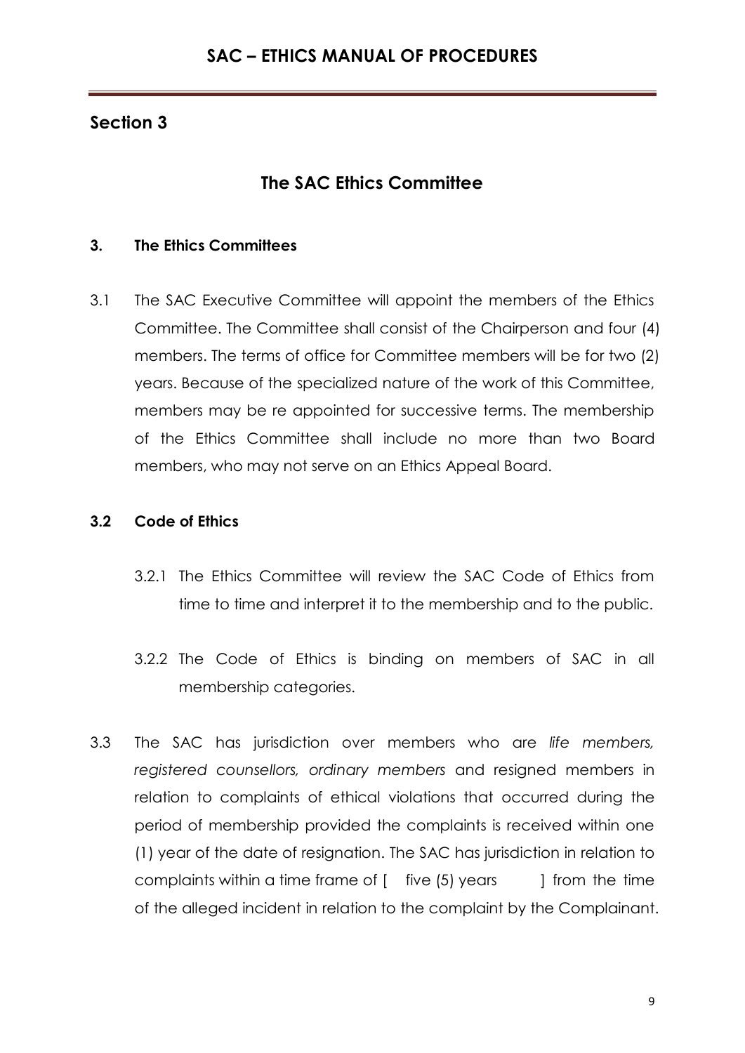# **The SAC Ethics Committee**

## **3. The Ethics Committees**

3.1 The SAC Executive Committee will appoint the members of the Ethics Committee. The Committee shall consist of the Chairperson and four (4) members. The terms of office for Committee members will be for two (2) years. Because of the specialized nature of the work of this Committee, members may be re appointed for successive terms. The membership of the Ethics Committee shall include no more than two Board members, who may not serve on an Ethics Appeal Board.

## **3.2 Code of Ethics**

- 3.2.1 The Ethics Committee will review the SAC Code of Ethics from time to time and interpret it to the membership and to the public.
- 3.2.2 The Code of Ethics is binding on members of SAC in all membership categories.
- 3.3 The SAC has jurisdiction over members who are *life members, registered counsellors, ordinary members* and resigned members in relation to complaints of ethical violations that occurred during the period of membership provided the complaints is received within one (1) year of the date of resignation. The SAC has jurisdiction in relation to complaints within a time frame of [ five (5) years ] from the time of the alleged incident in relation to the complaint by the Complainant.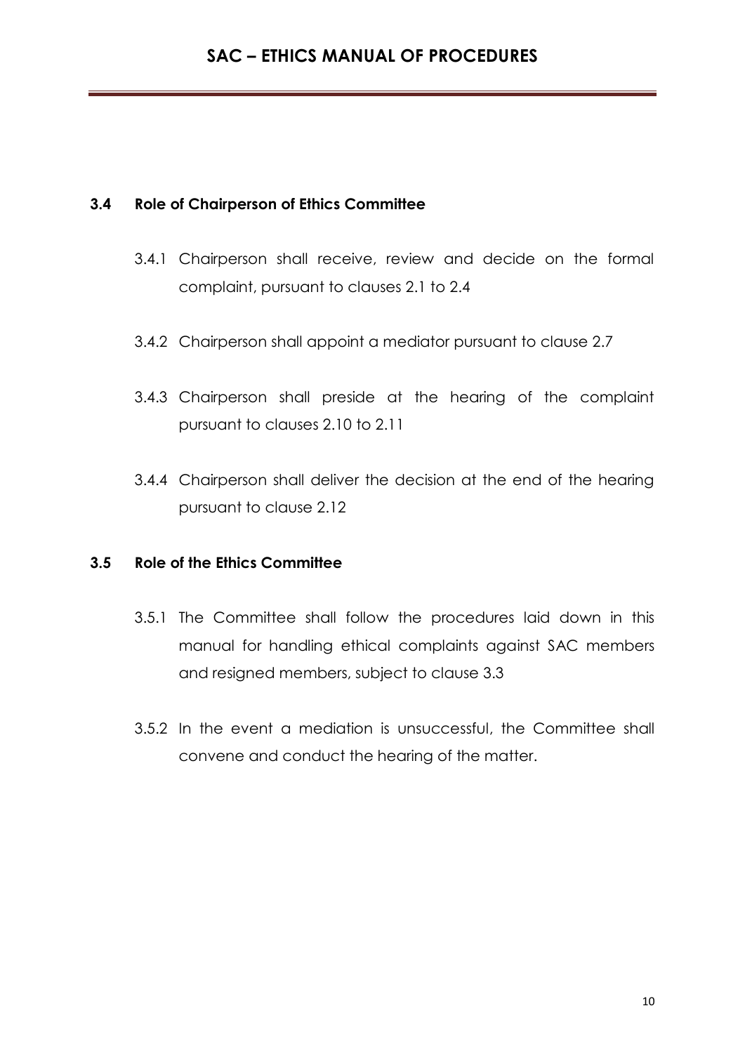## **3.4 Role of Chairperson of Ethics Committee**

- 3.4.1 Chairperson shall receive, review and decide on the formal complaint, pursuant to clauses 2.1 to 2.4
- 3.4.2 Chairperson shall appoint a mediator pursuant to clause 2.7
- 3.4.3 Chairperson shall preside at the hearing of the complaint pursuant to clauses 2.10 to 2.11
- 3.4.4 Chairperson shall deliver the decision at the end of the hearing pursuant to clause 2.12

## **3.5 Role of the Ethics Committee**

- 3.5.1 The Committee shall follow the procedures laid down in this manual for handling ethical complaints against SAC members and resigned members, subject to clause 3.3
- 3.5.2 In the event a mediation is unsuccessful, the Committee shall convene and conduct the hearing of the matter.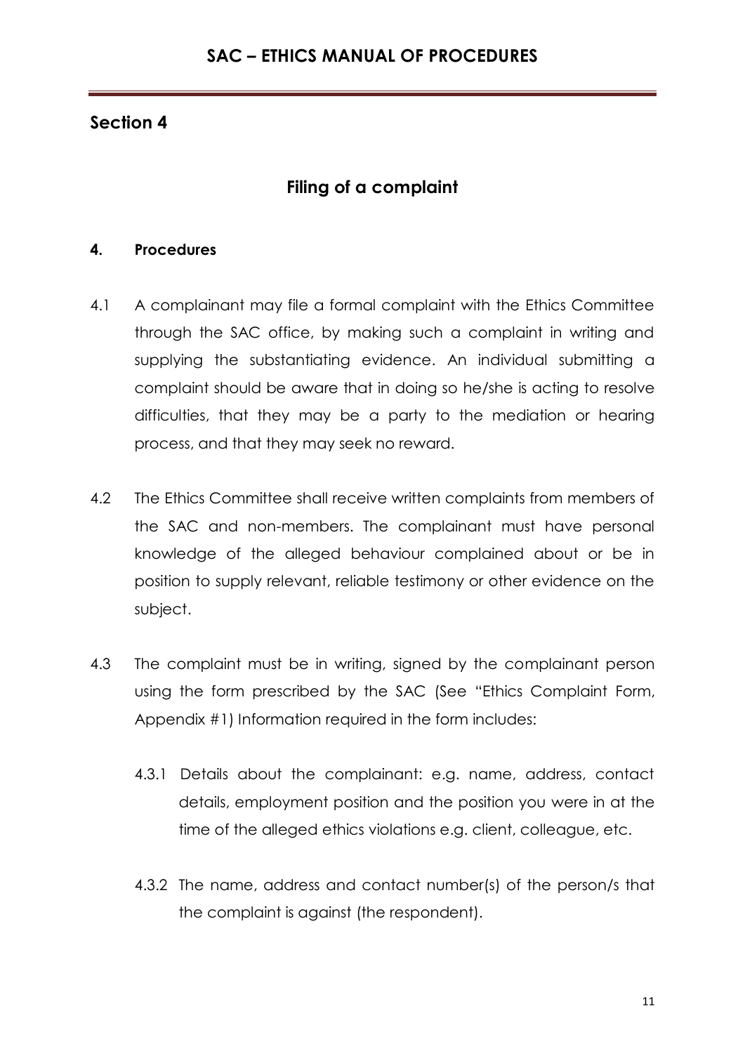# **Filing of a complaint**

## **4. Procedures**

- 4.1 A complainant may file a formal complaint with the Ethics Committee through the SAC office, by making such a complaint in writing and supplying the substantiating evidence. An individual submitting a complaint should be aware that in doing so he/she is acting to resolve difficulties, that they may be a party to the mediation or hearing process, and that they may seek no reward.
- 4.2 The Ethics Committee shall receive written complaints from members of the SAC and non-members. The complainant must have personal knowledge of the alleged behaviour complained about or be in position to supply relevant, reliable testimony or other evidence on the subject.
- 4.3 The complaint must be in writing, signed by the complainant person using the form prescribed by the SAC (See "Ethics Complaint Form, Appendix #1) Information required in the form includes:
	- 4.3.1 Details about the complainant: e.g. name, address, contact details, employment position and the position you were in at the time of the alleged ethics violations e.g. client, colleague, etc.
	- 4.3.2 The name, address and contact number(s) of the person/s that the complaint is against (the respondent).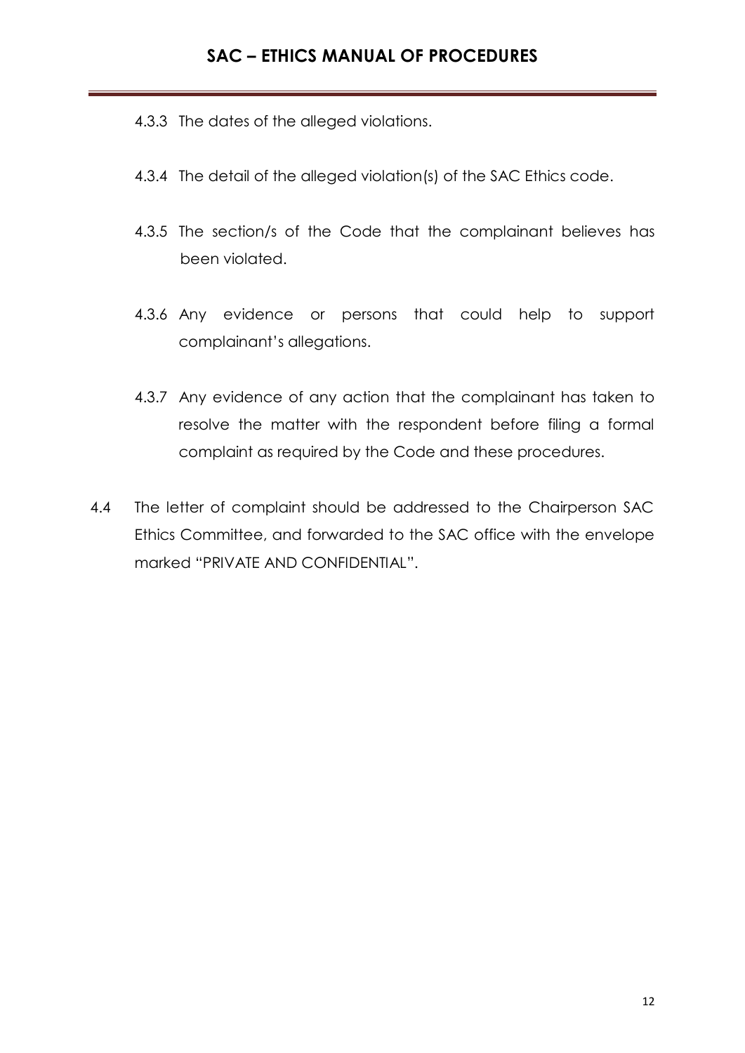- 4.3.3 The dates of the alleged violations.
- 4.3.4 The detail of the alleged violation(s) of the SAC Ethics code.
- 4.3.5 The section/s of the Code that the complainant believes has been violated.
- 4.3.6 Any evidence or persons that could help to support complainant's allegations.
- 4.3.7 Any evidence of any action that the complainant has taken to resolve the matter with the respondent before filing a formal complaint as required by the Code and these procedures.
- 4.4 The letter of complaint should be addressed to the Chairperson SAC Ethics Committee, and forwarded to the SAC office with the envelope marked "PRIVATE AND CONFIDENTIAL".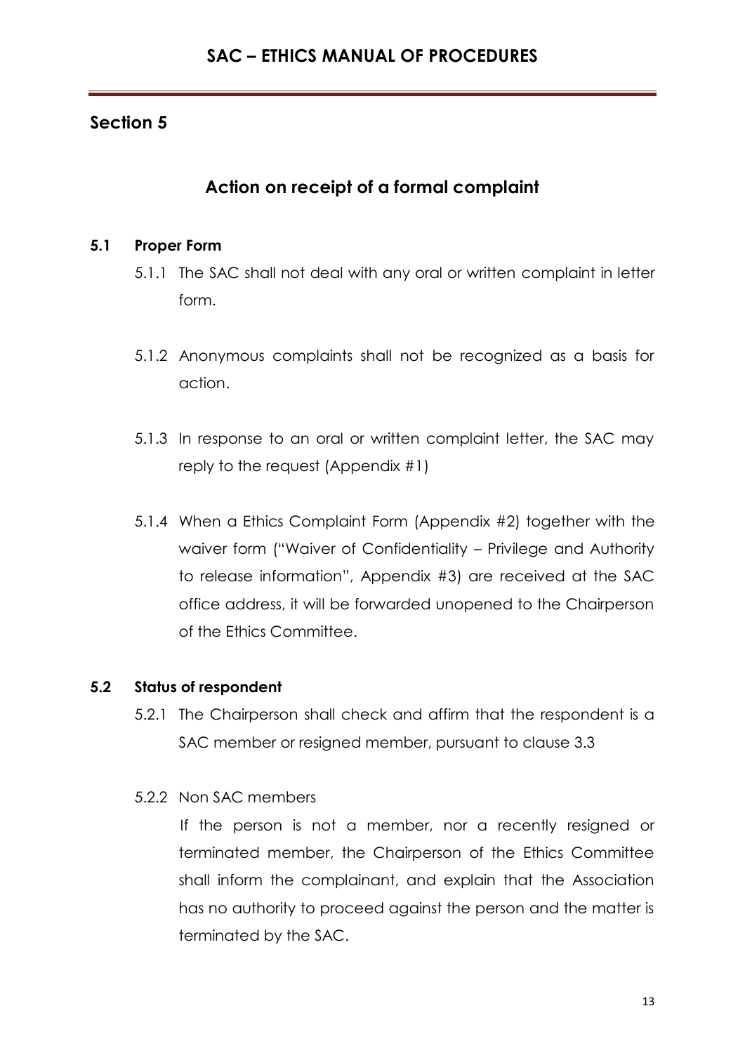# **Action on receipt of a formal complaint**

## **5.1 Proper Form**

- 5.1.1 The SAC shall not deal with any oral or written complaint in letter form.
- 5.1.2 Anonymous complaints shall not be recognized as a basis for action.
- 5.1.3 In response to an oral or written complaint letter, the SAC may reply to the request (Appendix #1)
- 5.1.4 When a Ethics Complaint Form (Appendix #2) together with the waiver form ("Waiver of Confidentiality – Privilege and Authority to release information", Appendix #3) are received at the SAC office address, it will be forwarded unopened to the Chairperson of the Ethics Committee.

## **5.2 Status of respondent**

- 5.2.1 The Chairperson shall check and affirm that the respondent is a SAC member or resigned member, pursuant to clause 3.3
- 5.2.2 Non SAC members

If the person is not a member, nor a recently resigned or terminated member, the Chairperson of the Ethics Committee shall inform the complainant, and explain that the Association has no authority to proceed against the person and the matter is terminated by the SAC.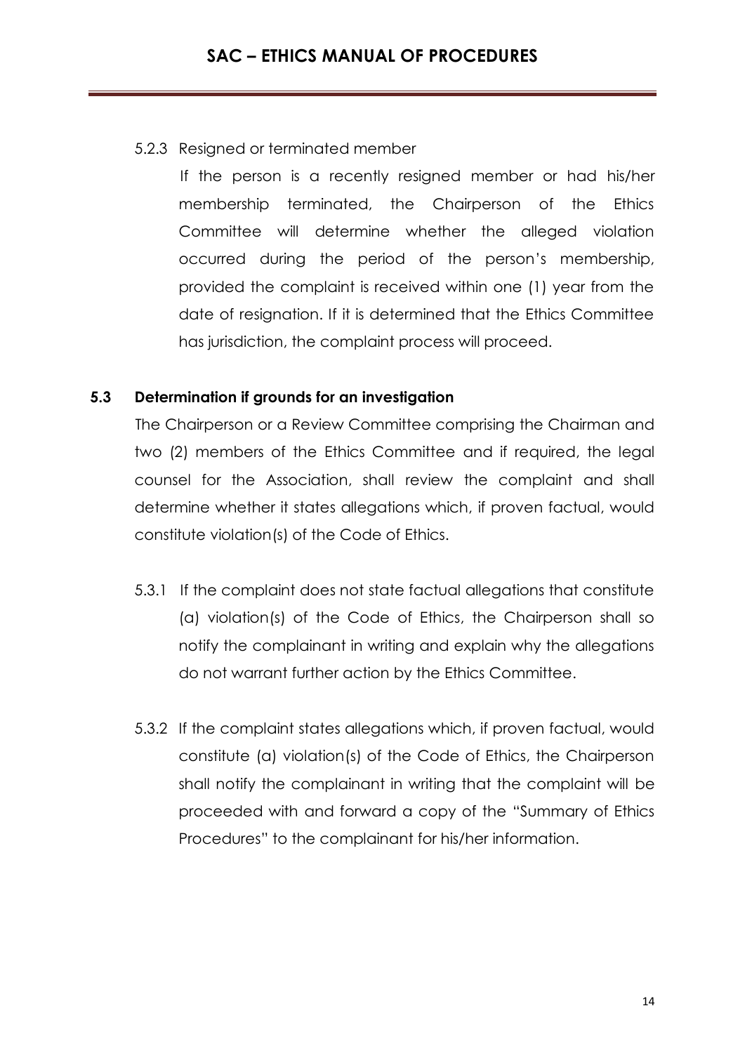## 5.2.3 Resigned or terminated member

If the person is a recently resigned member or had his/her membership terminated, the Chairperson of the Ethics Committee will determine whether the alleged violation occurred during the period of the person's membership, provided the complaint is received within one (1) year from the date of resignation. If it is determined that the Ethics Committee has jurisdiction, the complaint process will proceed.

## **5.3 Determination if grounds for an investigation**

The Chairperson or a Review Committee comprising the Chairman and two (2) members of the Ethics Committee and if required, the legal counsel for the Association, shall review the complaint and shall determine whether it states allegations which, if proven factual, would constitute violation(s) of the Code of Ethics.

- 5.3.1 If the complaint does not state factual allegations that constitute (a) violation(s) of the Code of Ethics, the Chairperson shall so notify the complainant in writing and explain why the allegations do not warrant further action by the Ethics Committee.
- 5.3.2 If the complaint states allegations which, if proven factual, would constitute (a) violation(s) of the Code of Ethics, the Chairperson shall notify the complainant in writing that the complaint will be proceeded with and forward a copy of the "Summary of Ethics Procedures" to the complainant for his/her information.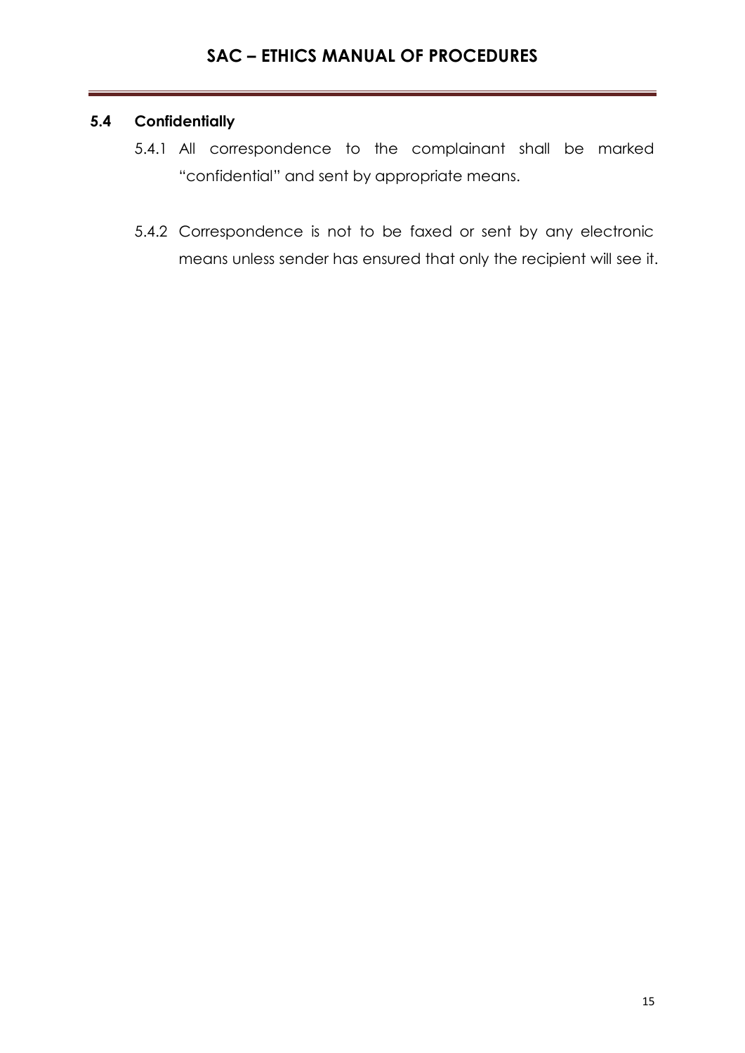## **5.4 Confidentially**

- 5.4.1 All correspondence to the complainant shall be marked "confidential" and sent by appropriate means.
- 5.4.2 Correspondence is not to be faxed or sent by any electronic means unless sender has ensured that only the recipient will see it.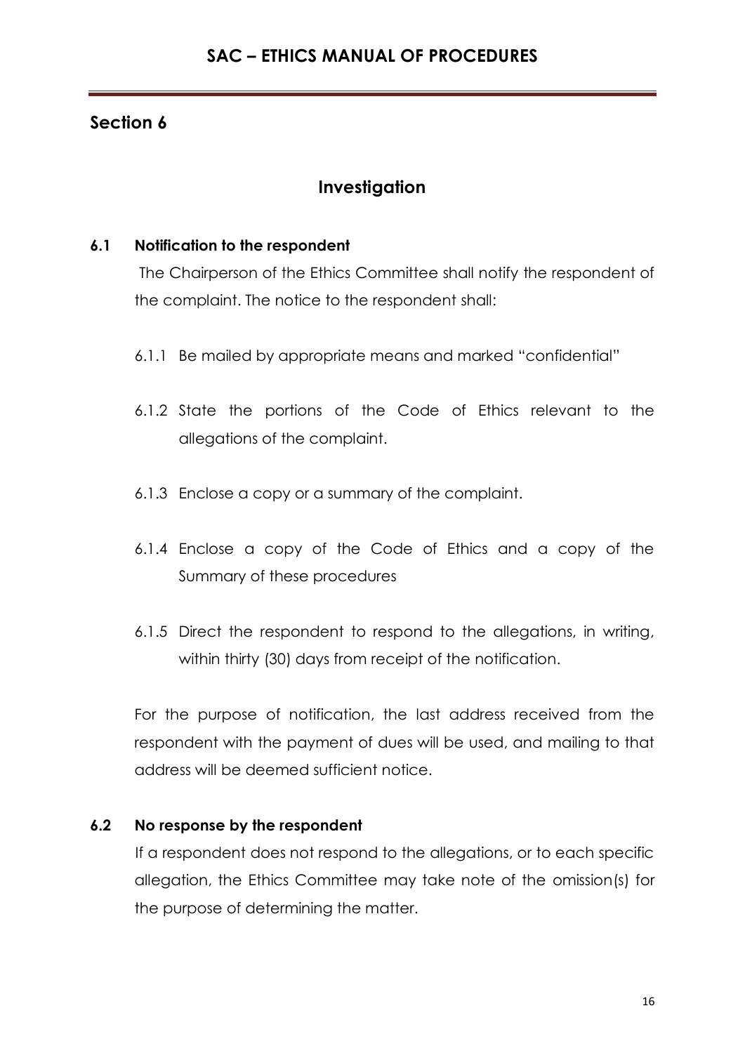# **Investigation**

## **6.1 Notification to the respondent**

The Chairperson of the Ethics Committee shall notify the respondent of the complaint. The notice to the respondent shall:

- 6.1.1 Be mailed by appropriate means and marked "confidential"
- 6.1.2 State the portions of the Code of Ethics relevant to the allegations of the complaint.
- 6.1.3 Enclose a copy or a summary of the complaint.
- 6.1.4 Enclose a copy of the Code of Ethics and a copy of the Summary of these procedures
- 6.1.5 Direct the respondent to respond to the allegations, in writing, within thirty (30) days from receipt of the notification.

For the purpose of notification, the last address received from the respondent with the payment of dues will be used, and mailing to that address will be deemed sufficient notice.

# **6.2 No response by the respondent**

If a respondent does not respond to the allegations, or to each specific allegation, the Ethics Committee may take note of the omission(s) for the purpose of determining the matter.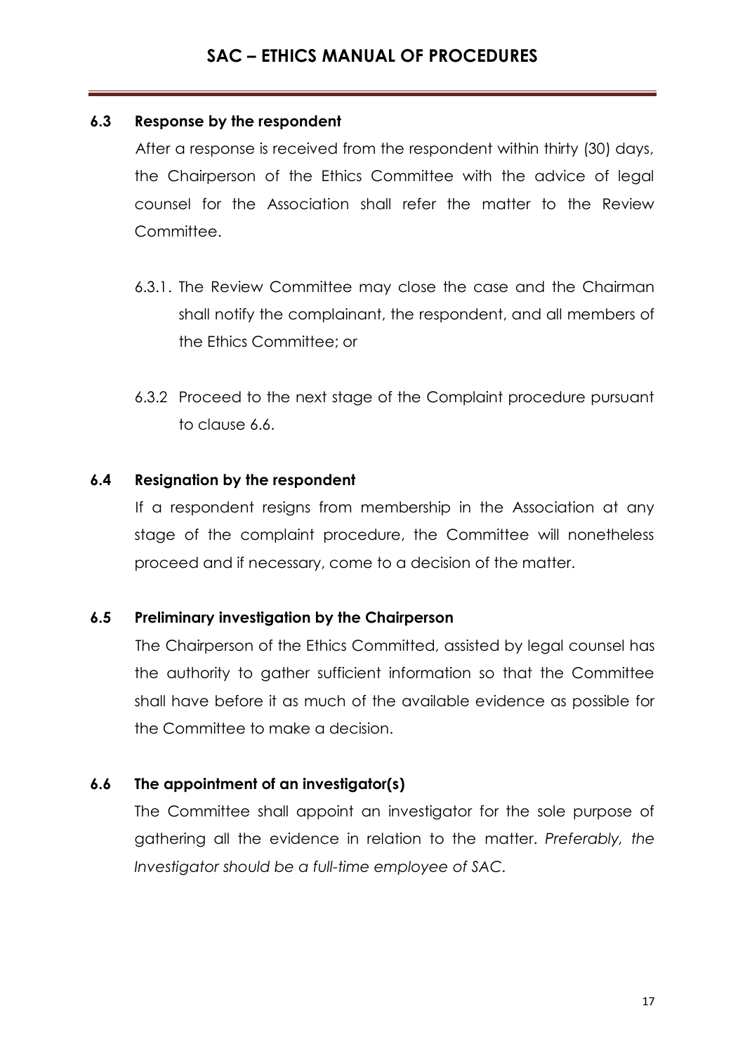## **6.3 Response by the respondent**

After a response is received from the respondent within thirty (30) days, the Chairperson of the Ethics Committee with the advice of legal counsel for the Association shall refer the matter to the Review Committee.

- 6.3.1. The Review Committee may close the case and the Chairman shall notify the complainant, the respondent, and all members of the Ethics Committee; or
- 6.3.2 Proceed to the next stage of the Complaint procedure pursuant to clause 6.6.

## **6.4 Resignation by the respondent**

If a respondent resigns from membership in the Association at any stage of the complaint procedure, the Committee will nonetheless proceed and if necessary, come to a decision of the matter.

## **6.5 Preliminary investigation by the Chairperson**

The Chairperson of the Ethics Committed, assisted by legal counsel has the authority to gather sufficient information so that the Committee shall have before it as much of the available evidence as possible for the Committee to make a decision.

## **6.6 The appointment of an investigator(s)**

The Committee shall appoint an investigator for the sole purpose of gathering all the evidence in relation to the matter. *Preferably, the Investigator should be a full-time employee of SAC.*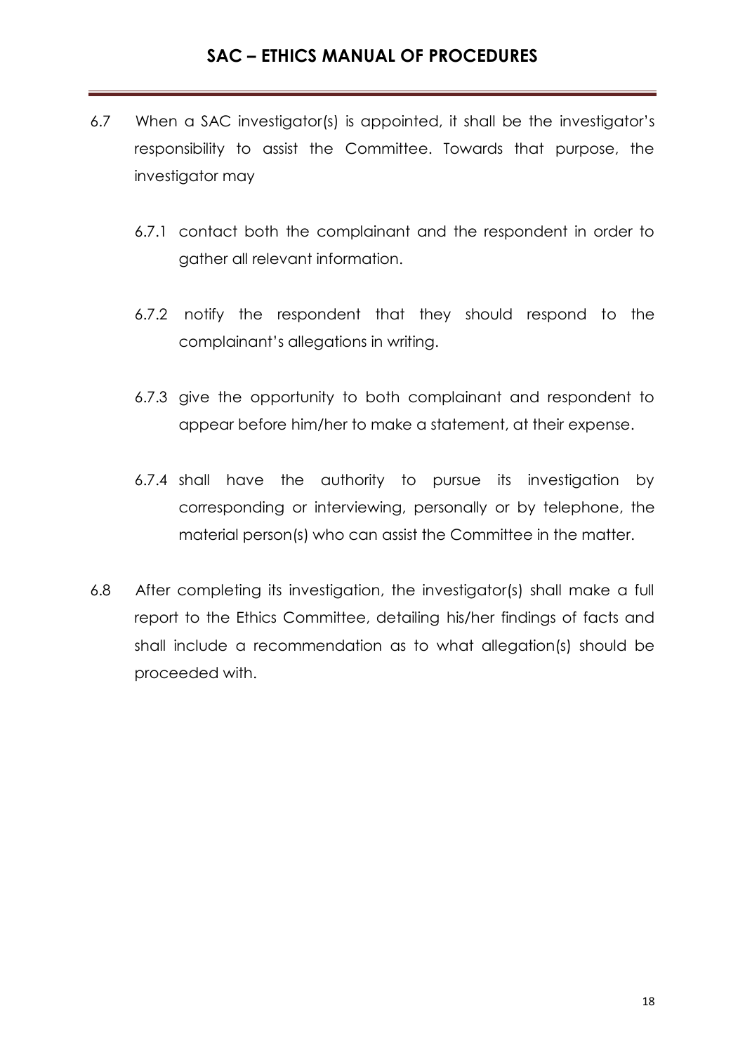- 6.7 When a SAC investigator(s) is appointed, it shall be the investigator's responsibility to assist the Committee. Towards that purpose, the investigator may
	- 6.7.1 contact both the complainant and the respondent in order to gather all relevant information.
	- 6.7.2 notify the respondent that they should respond to the complainant's allegations in writing.
	- 6.7.3 give the opportunity to both complainant and respondent to appear before him/her to make a statement, at their expense.
	- 6.7.4 shall have the authority to pursue its investigation by corresponding or interviewing, personally or by telephone, the material person(s) who can assist the Committee in the matter.
- 6.8 After completing its investigation, the investigator(s) shall make a full report to the Ethics Committee, detailing his/her findings of facts and shall include a recommendation as to what allegation(s) should be proceeded with.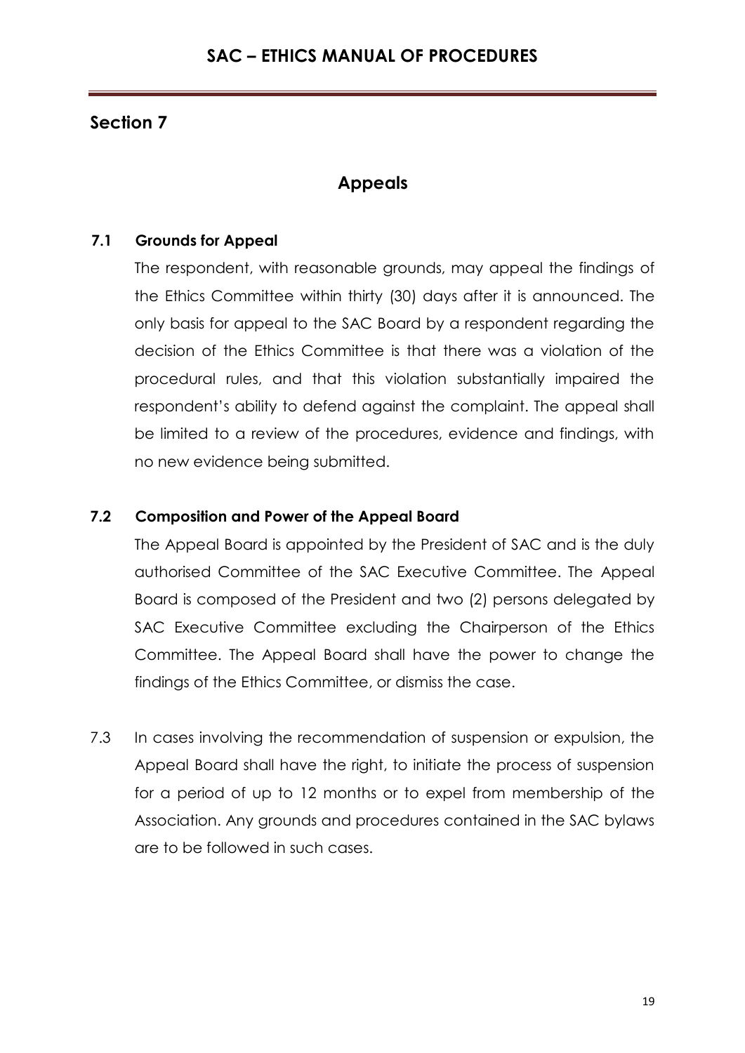# **Appeals**

## **7.1 Grounds for Appeal**

The respondent, with reasonable grounds, may appeal the findings of the Ethics Committee within thirty (30) days after it is announced. The only basis for appeal to the SAC Board by a respondent regarding the decision of the Ethics Committee is that there was a violation of the procedural rules, and that this violation substantially impaired the respondent's ability to defend against the complaint. The appeal shall be limited to a review of the procedures, evidence and findings, with no new evidence being submitted.

## **7.2 Composition and Power of the Appeal Board**

The Appeal Board is appointed by the President of SAC and is the duly authorised Committee of the SAC Executive Committee. The Appeal Board is composed of the President and two (2) persons delegated by SAC Executive Committee excluding the Chairperson of the Ethics Committee. The Appeal Board shall have the power to change the findings of the Ethics Committee, or dismiss the case.

7.3 In cases involving the recommendation of suspension or expulsion, the Appeal Board shall have the right, to initiate the process of suspension for a period of up to 12 months or to expel from membership of the Association. Any grounds and procedures contained in the SAC bylaws are to be followed in such cases.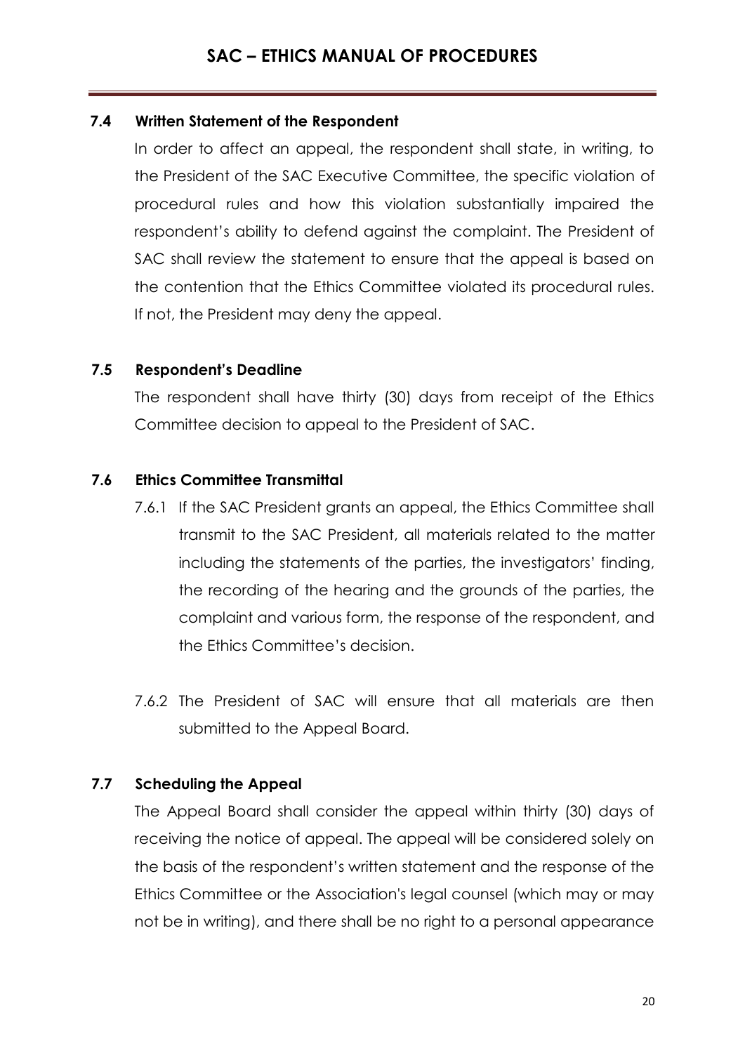## **7.4 Written Statement of the Respondent**

In order to affect an appeal, the respondent shall state, in writing, to the President of the SAC Executive Committee, the specific violation of procedural rules and how this violation substantially impaired the respondent's ability to defend against the complaint. The President of SAC shall review the statement to ensure that the appeal is based on the contention that the Ethics Committee violated its procedural rules. If not, the President may deny the appeal.

## **7.5 Respondent's Deadline**

The respondent shall have thirty (30) days from receipt of the Ethics Committee decision to appeal to the President of SAC.

## **7.6 Ethics Committee Transmittal**

- 7.6.1 If the SAC President grants an appeal, the Ethics Committee shall transmit to the SAC President, all materials related to the matter including the statements of the parties, the investigators' finding, the recording of the hearing and the grounds of the parties, the complaint and various form, the response of the respondent, and the Ethics Committee's decision.
- 7.6.2 The President of SAC will ensure that all materials are then submitted to the Appeal Board.

## **7.7 Scheduling the Appeal**

The Appeal Board shall consider the appeal within thirty (30) days of receiving the notice of appeal. The appeal will be considered solely on the basis of the respondent's written statement and the response of the Ethics Committee or the Association's legal counsel (which may or may not be in writing), and there shall be no right to a personal appearance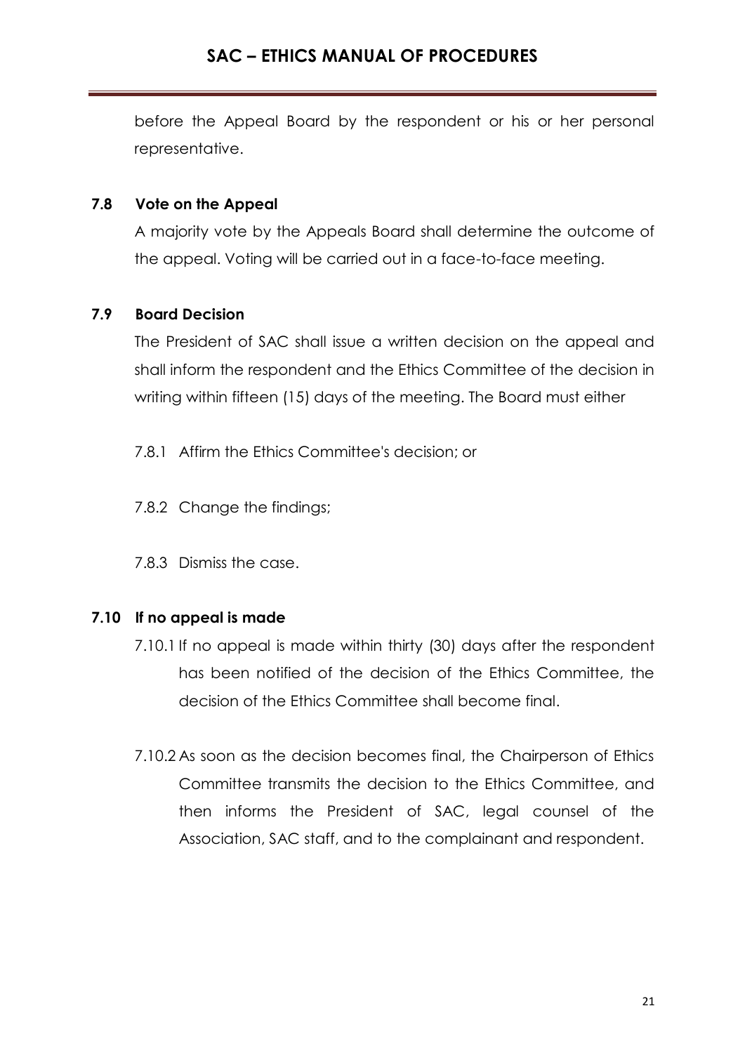before the Appeal Board by the respondent or his or her personal representative.

#### **7.8 Vote on the Appeal**

A majority vote by the Appeals Board shall determine the outcome of the appeal. Voting will be carried out in a face-to-face meeting.

#### **7.9 Board Decision**

The President of SAC shall issue a written decision on the appeal and shall inform the respondent and the Ethics Committee of the decision in writing within fifteen (15) days of the meeting. The Board must either

- 7.8.1 Affirm the Ethics Committee's decision; or
- 7.8.2 Change the findings;
- 7.8.3 Dismiss the case.

## **7.10 If no appeal is made**

- 7.10.1 If no appeal is made within thirty (30) days after the respondent has been notified of the decision of the Ethics Committee, the decision of the Ethics Committee shall become final.
- 7.10.2 As soon as the decision becomes final, the Chairperson of Ethics Committee transmits the decision to the Ethics Committee, and then informs the President of SAC, legal counsel of the Association, SAC staff, and to the complainant and respondent.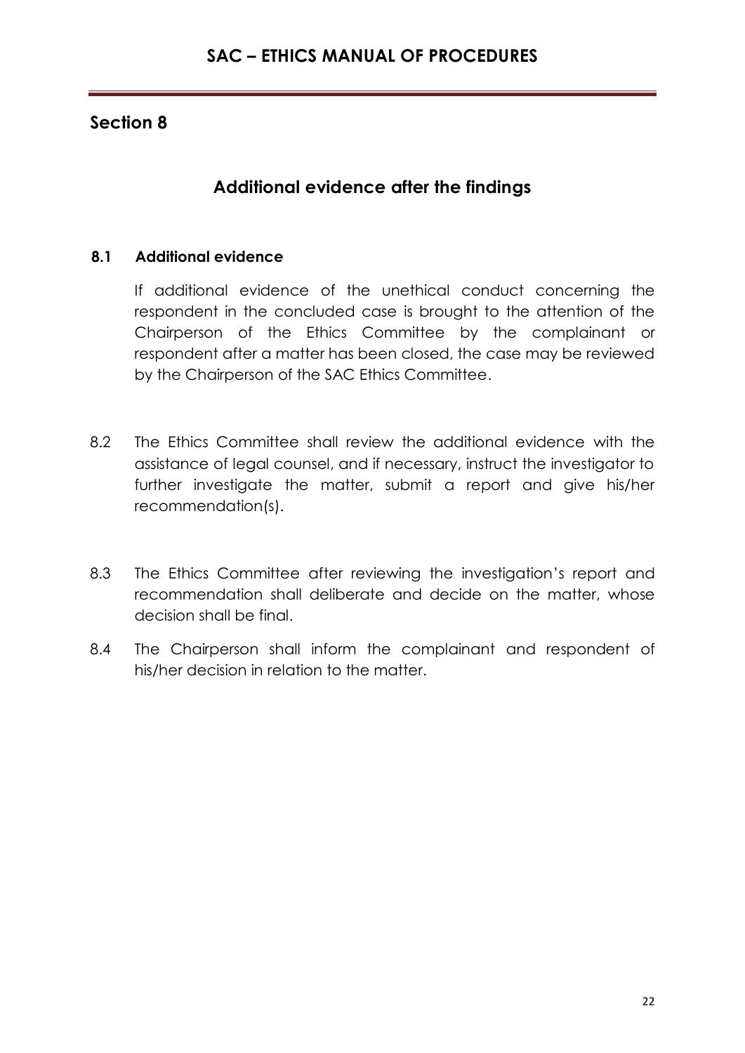# **Additional evidence after the findings**

## **8.1 Additional evidence**

If additional evidence of the unethical conduct concerning the respondent in the concluded case is brought to the attention of the Chairperson of the Ethics Committee by the complainant or respondent after a matter has been closed, the case may be reviewed by the Chairperson of the SAC Ethics Committee.

- 8.2 The Ethics Committee shall review the additional evidence with the assistance of legal counsel, and if necessary, instruct the investigator to further investigate the matter, submit a report and give his/her recommendation(s).
- 8.3 The Ethics Committee after reviewing the investigation's report and recommendation shall deliberate and decide on the matter, whose decision shall be final.
- 8.4 The Chairperson shall inform the complainant and respondent of his/her decision in relation to the matter.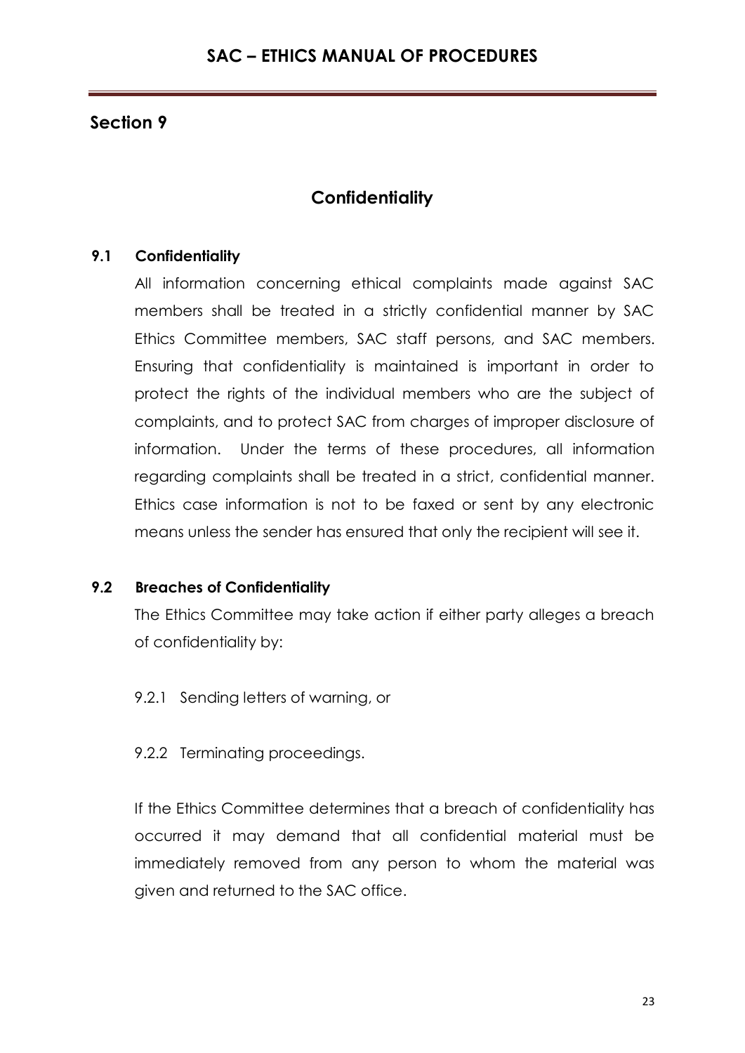# **Confidentiality**

## **9.1 Confidentiality**

All information concerning ethical complaints made against SAC members shall be treated in a strictly confidential manner by SAC Ethics Committee members, SAC staff persons, and SAC members. Ensuring that confidentiality is maintained is important in order to protect the rights of the individual members who are the subject of complaints, and to protect SAC from charges of improper disclosure of information. Under the terms of these procedures, all information regarding complaints shall be treated in a strict, confidential manner. Ethics case information is not to be faxed or sent by any electronic means unless the sender has ensured that only the recipient will see it.

## **9.2 Breaches of Confidentiality**

The Ethics Committee may take action if either party alleges a breach of confidentiality by:

- 9.2.1 Sending letters of warning, or
- 9.2.2 Terminating proceedings.

If the Ethics Committee determines that a breach of confidentiality has occurred it may demand that all confidential material must be immediately removed from any person to whom the material was given and returned to the SAC office.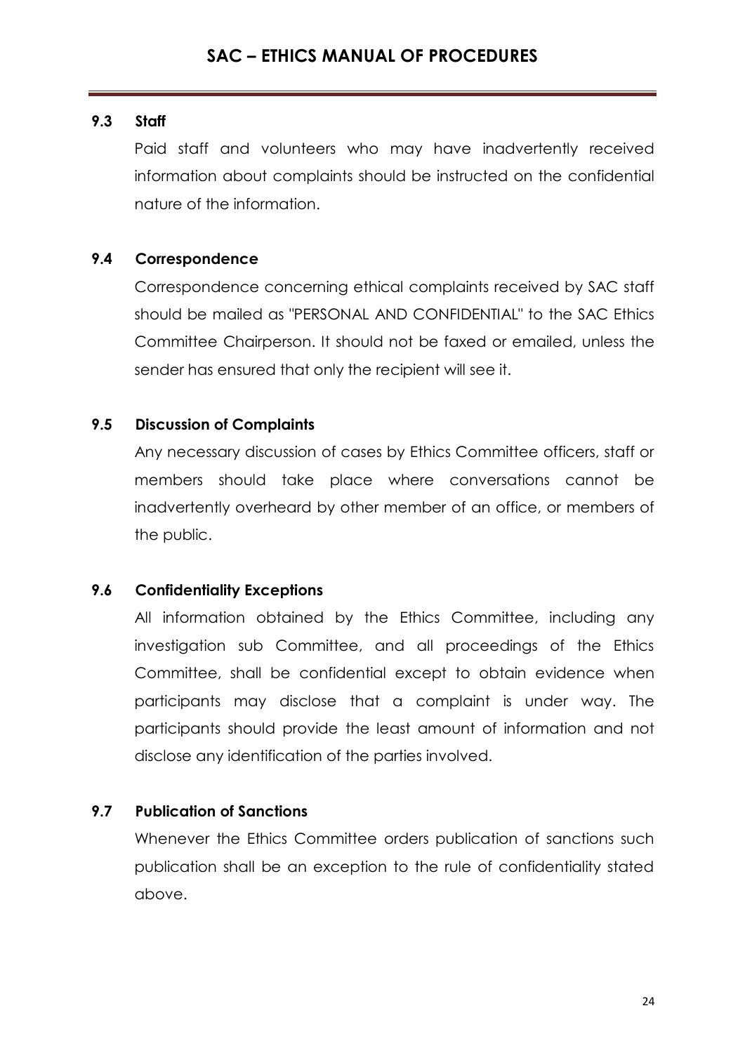## **9.3 Staff**

Paid staff and volunteers who may have inadvertently received information about complaints should be instructed on the confidential nature of the information.

## **9.4 Correspondence**

Correspondence concerning ethical complaints received by SAC staff should be mailed as "PERSONAL AND CONFIDENTIAL" to the SAC Ethics Committee Chairperson. It should not be faxed or emailed, unless the sender has ensured that only the recipient will see it.

## **9.5 Discussion of Complaints**

Any necessary discussion of cases by Ethics Committee officers, staff or members should take place where conversations cannot be inadvertently overheard by other member of an office, or members of the public.

## **9.6 Confidentiality Exceptions**

All information obtained by the Ethics Committee, including any investigation sub Committee, and all proceedings of the Ethics Committee, shall be confidential except to obtain evidence when participants may disclose that a complaint is under way. The participants should provide the least amount of information and not disclose any identification of the parties involved.

## **9.7 Publication of Sanctions**

Whenever the Ethics Committee orders publication of sanctions such publication shall be an exception to the rule of confidentiality stated above.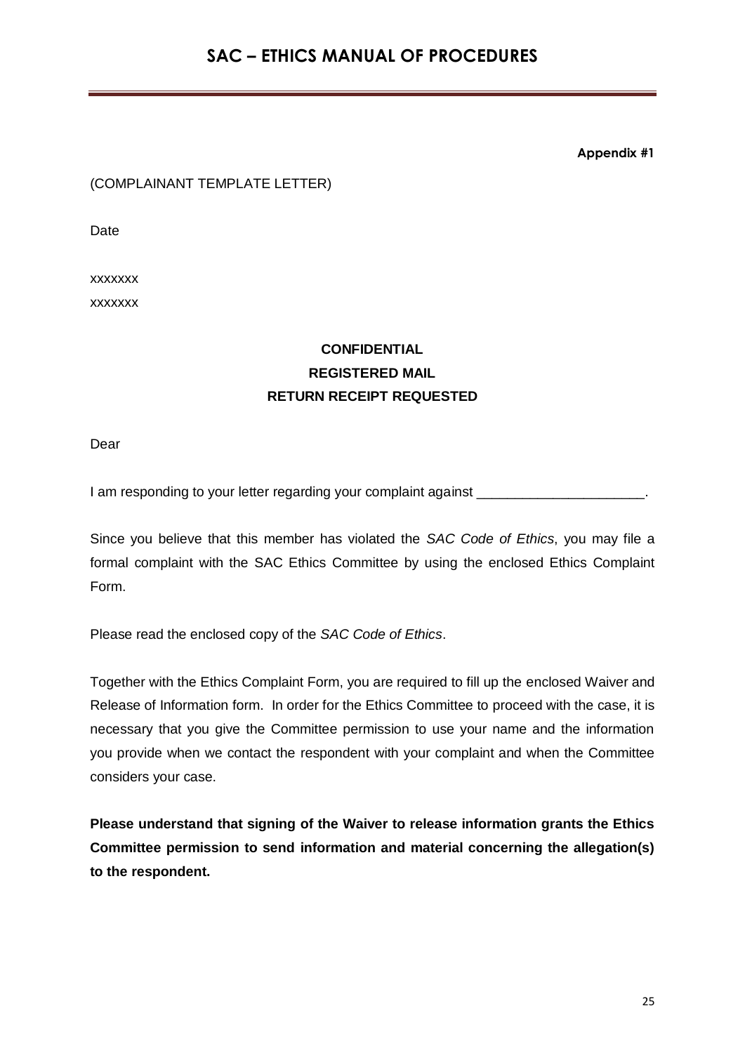**Appendix #1**

#### (COMPLAINANT TEMPLATE LETTER)

Date

xxxxxxx xxxxxxx

# **CONFIDENTIAL REGISTERED MAIL RETURN RECEIPT REQUESTED**

Dear

I am responding to your letter regarding your complaint against \_

Since you believe that this member has violated the *SAC Code of Ethics*, you may file a formal complaint with the SAC Ethics Committee by using the enclosed Ethics Complaint Form.

Please read the enclosed copy of the *SAC Code of Ethics*.

Together with the Ethics Complaint Form, you are required to fill up the enclosed Waiver and Release of Information form. In order for the Ethics Committee to proceed with the case, it is necessary that you give the Committee permission to use your name and the information you provide when we contact the respondent with your complaint and when the Committee considers your case.

**Please understand that signing of the Waiver to release information grants the Ethics Committee permission to send information and material concerning the allegation(s) to the respondent.**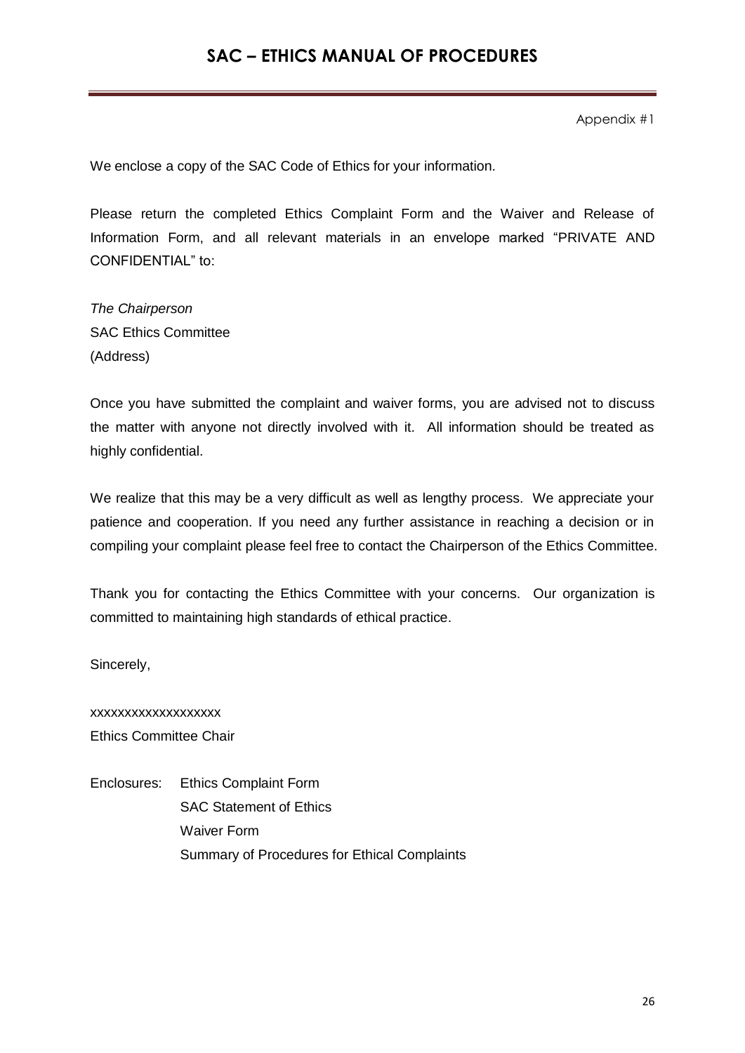Appendix #1

We enclose a copy of the SAC Code of Ethics for your information.

Please return the completed Ethics Complaint Form and the Waiver and Release of Information Form, and all relevant materials in an envelope marked "PRIVATE AND CONFIDENTIAL" to:

*The Chairperson* SAC Ethics Committee (Address)

Once you have submitted the complaint and waiver forms, you are advised not to discuss the matter with anyone not directly involved with it. All information should be treated as highly confidential.

We realize that this may be a very difficult as well as lengthy process. We appreciate your patience and cooperation. If you need any further assistance in reaching a decision or in compiling your complaint please feel free to contact the Chairperson of the Ethics Committee.

Thank you for contacting the Ethics Committee with your concerns. Our organization is committed to maintaining high standards of ethical practice.

Sincerely,

xxxxxxxxxxxxxxxxxxx Ethics Committee Chair

Enclosures: Ethics Complaint Form SAC Statement of Ethics Waiver Form Summary of Procedures for Ethical Complaints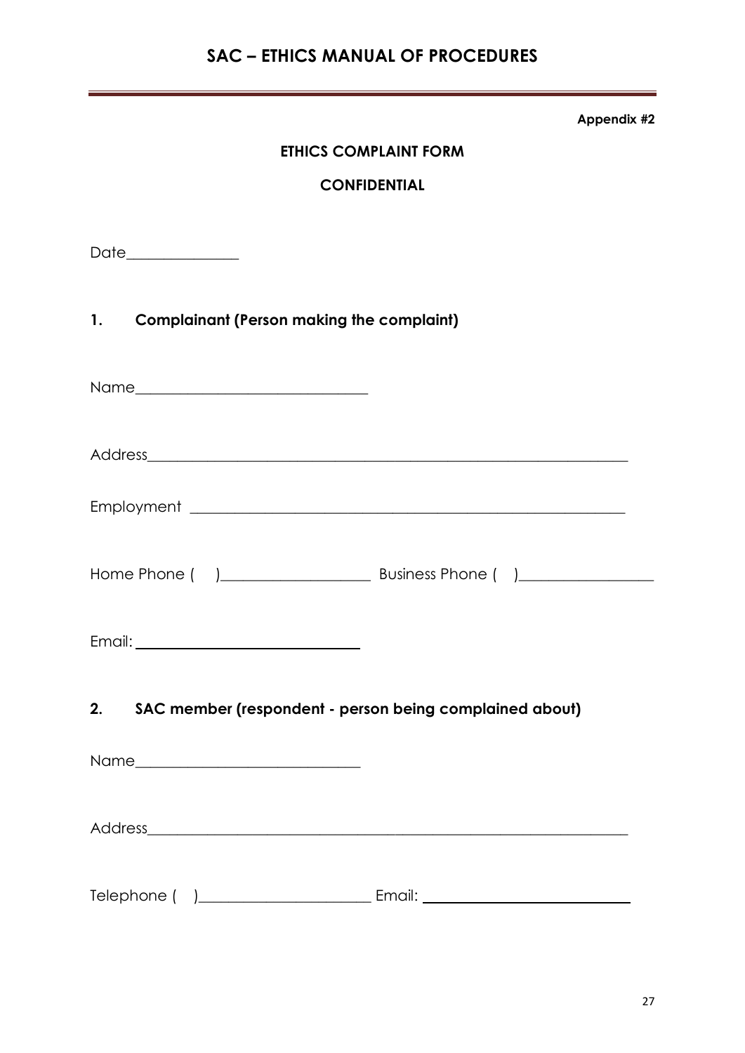**Appendix #2**

## **ETHICS COMPLAINT FORM**

#### **CONFIDENTIAL**

Date\_\_\_\_\_\_\_\_\_\_\_\_\_\_\_

## **1. Complainant (Person making the complaint)**

| 2. SAC member (respondent - person being complained about) |  |
|------------------------------------------------------------|--|
|                                                            |  |
|                                                            |  |
|                                                            |  |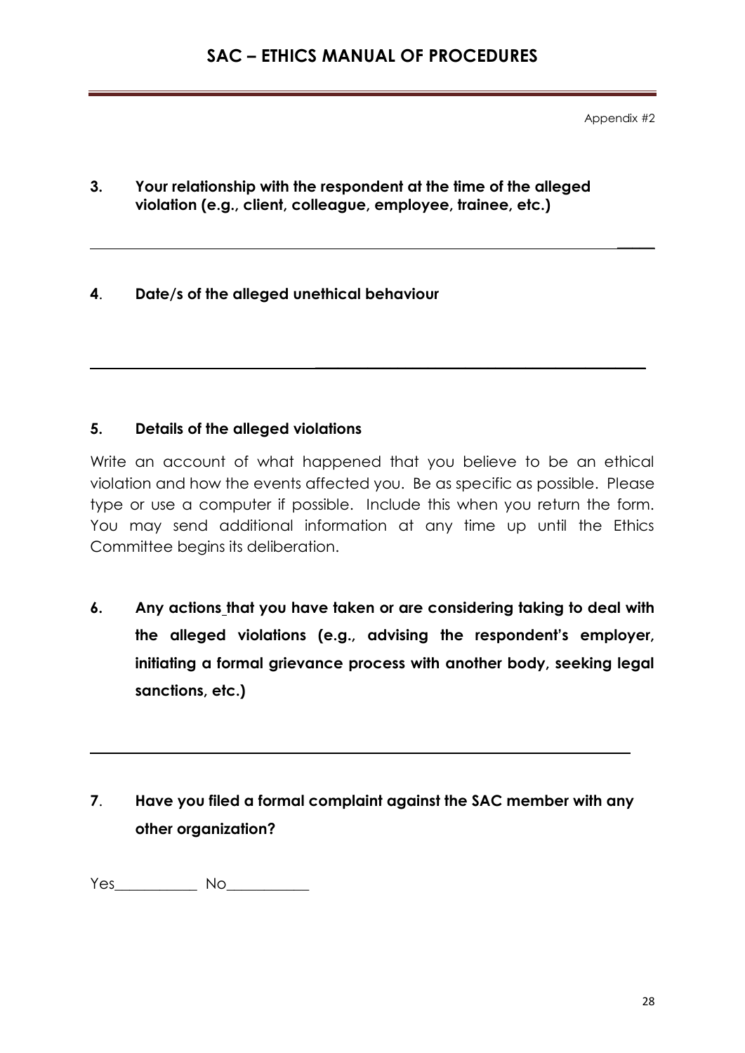Appendix #2

 $\frac{1}{2}$ 

**3. Your relationship with the respondent at the time of the alleged violation (e.g., client, colleague, employee, trainee, etc.)**

## **4**. **Date/s of the alleged unethical behaviour**

## **5. Details of the alleged violations**

Write an account of what happened that you believe to be an ethical violation and how the events affected you. Be as specific as possible. Please type or use a computer if possible. Include this when you return the form. You may send additional information at any time up until the Ethics Committee begins its deliberation.

\_\_\_\_\_\_\_\_\_\_\_\_\_\_\_\_\_\_\_\_\_\_\_\_\_\_\_\_\_\_\_\_\_\_\_\_\_\_\_\_\_\_\_\_

**6. Any actions that you have taken or are considering taking to deal with the alleged violations (e.g., advising the respondent's employer, initiating a formal grievance process with another body, seeking legal sanctions, etc.)**

# **7**. **Have you filed a formal complaint against the SAC member with any other organization?**

Yes\_\_\_\_\_\_\_\_\_\_\_ No\_\_\_\_\_\_\_\_\_\_\_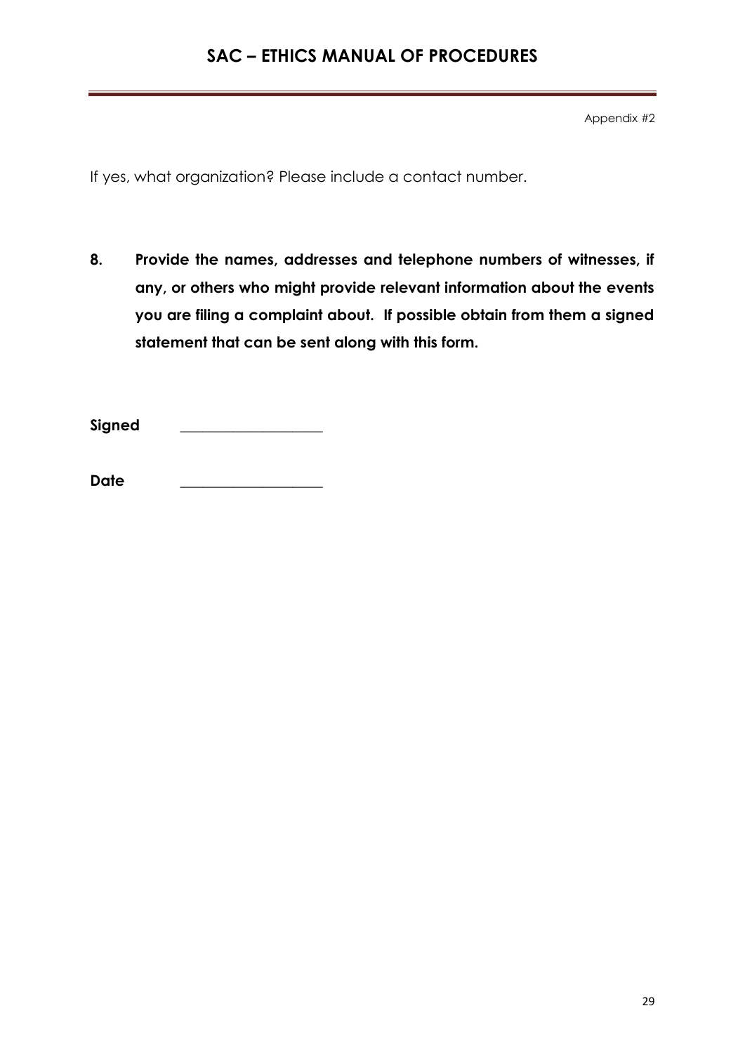Appendix #2

If yes, what organization? Please include a contact number.

**8. Provide the names, addresses and telephone numbers of witnesses, if any, or others who might provide relevant information about the events you are filing a complaint about. If possible obtain from them a signed statement that can be sent along with this form.**

**Signed \_\_\_\_\_\_\_\_\_\_\_\_\_\_\_\_\_\_\_**

**Date \_\_\_\_\_\_\_\_\_\_\_\_\_\_\_\_\_\_\_**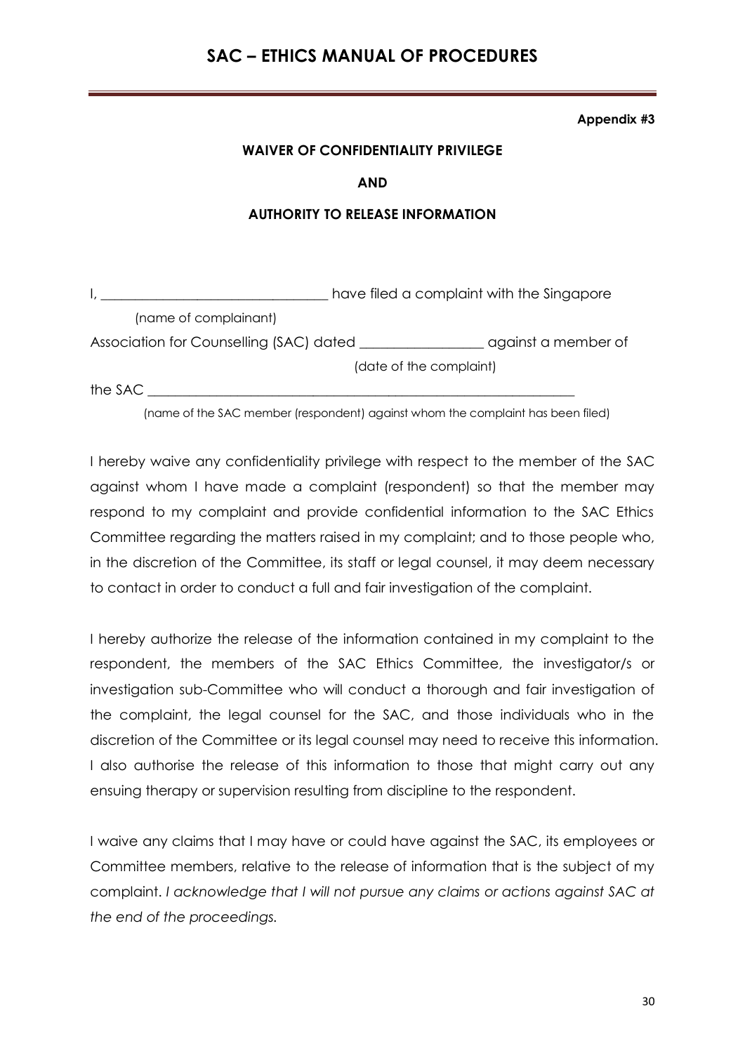#### **Appendix #3**

#### **WAIVER OF CONFIDENTIALITY PRIVILEGE**

#### **AND**

#### **AUTHORITY TO RELEASE INFORMATION**

|                                         | have filed a complaint with the Singapore |                     |
|-----------------------------------------|-------------------------------------------|---------------------|
| (name of complainant)                   |                                           |                     |
| Association for Counselling (SAC) dated |                                           | against a member of |
|                                         | (date of the complaint)                   |                     |
| the SAC                                 |                                           |                     |

(name of the SAC member (respondent) against whom the complaint has been filed)

I hereby waive any confidentiality privilege with respect to the member of the SAC against whom I have made a complaint (respondent) so that the member may respond to my complaint and provide confidential information to the SAC Ethics Committee regarding the matters raised in my complaint; and to those people who, in the discretion of the Committee, its staff or legal counsel, it may deem necessary to contact in order to conduct a full and fair investigation of the complaint.

I hereby authorize the release of the information contained in my complaint to the respondent, the members of the SAC Ethics Committee, the investigator/s or investigation sub-Committee who will conduct a thorough and fair investigation of the complaint, the legal counsel for the SAC, and those individuals who in the discretion of the Committee or its legal counsel may need to receive this information. I also authorise the release of this information to those that might carry out any ensuing therapy or supervision resulting from discipline to the respondent.

I waive any claims that I may have or could have against the SAC, its employees or Committee members, relative to the release of information that is the subject of my complaint. *I acknowledge that I will not pursue any claims or actions against SAC at the end of the proceedings.*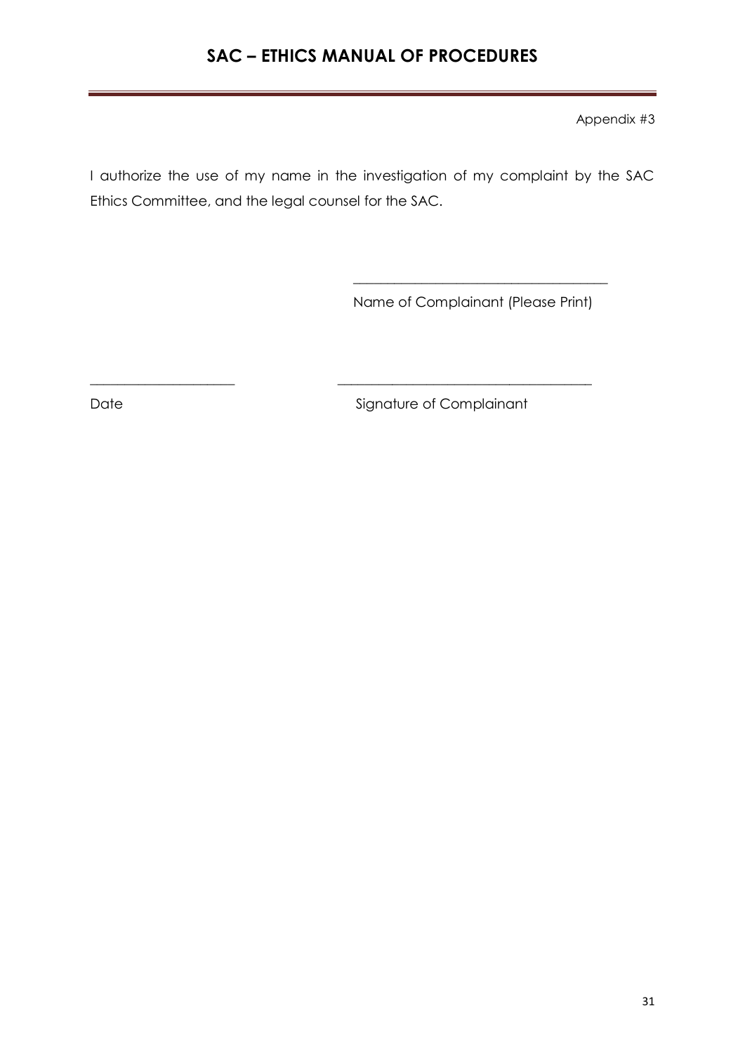Appendix #3

I authorize the use of my name in the investigation of my complaint by the SAC Ethics Committee, and the legal counsel for the SAC.

 $\overline{\phantom{a}}$  , which is a set of the set of the set of the set of the set of the set of the set of the set of the set of the set of the set of the set of the set of the set of the set of the set of the set of the set of th

\_\_\_\_\_\_\_\_\_\_\_\_\_\_\_\_\_\_\_\_\_ \_\_\_\_\_\_\_\_\_\_\_\_\_\_\_\_\_\_\_\_\_\_\_\_\_\_\_\_\_\_\_\_\_\_\_\_\_

Name of Complainant (Please Print)

Date Signature of Complainant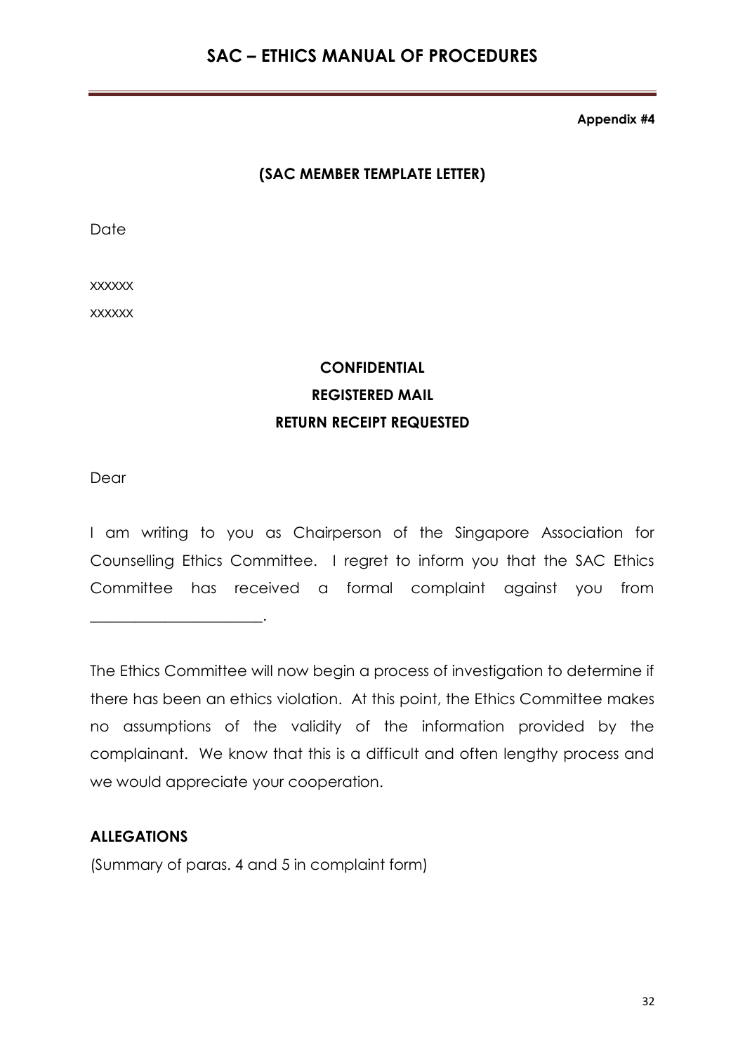**Appendix #4**

## **(SAC MEMBER TEMPLATE LETTER)**

Date

xxxxxx

xxxxxx

# **CONFIDENTIAL REGISTERED MAIL RETURN RECEIPT REQUESTED**

Dear

I am writing to you as Chairperson of the Singapore Association for Counselling Ethics Committee. I regret to inform you that the SAC Ethics Committee has received a formal complaint against you from

The Ethics Committee will now begin a process of investigation to determine if there has been an ethics violation. At this point, the Ethics Committee makes no assumptions of the validity of the information provided by the complainant. We know that this is a difficult and often lengthy process and we would appreciate your cooperation.

## **ALLEGATIONS**

\_\_\_\_\_\_\_\_\_\_\_\_\_\_\_\_\_\_\_\_\_\_\_.

(Summary of paras. 4 and 5 in complaint form)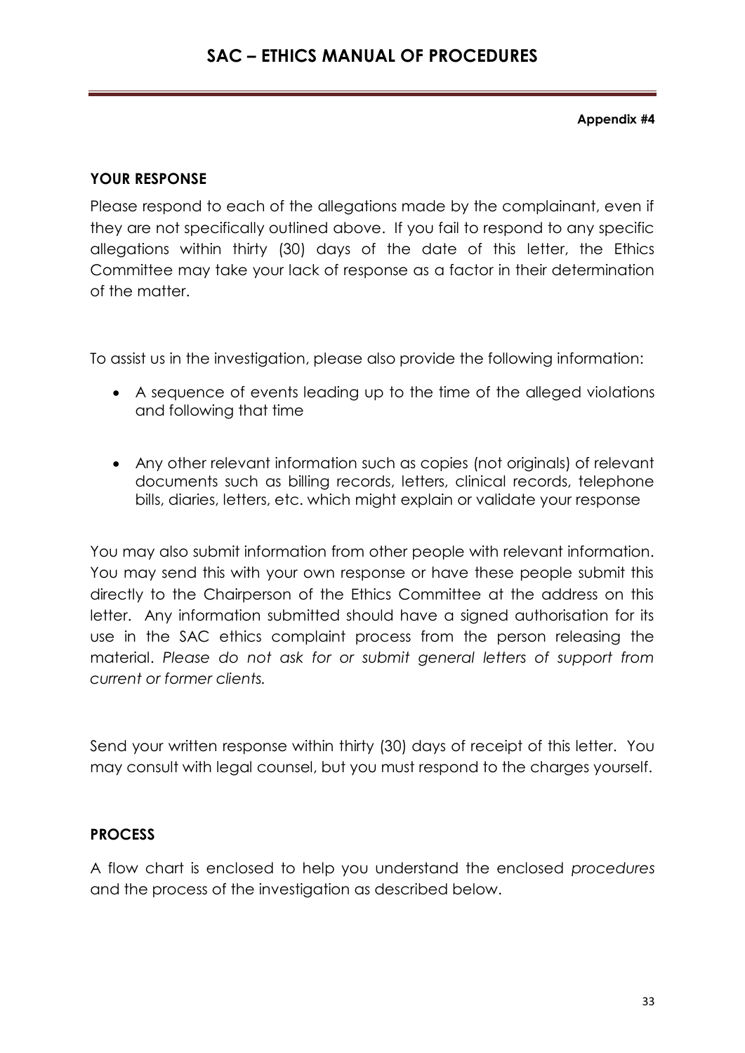**Appendix #4**

## **YOUR RESPONSE**

Please respond to each of the allegations made by the complainant, even if they are not specifically outlined above. If you fail to respond to any specific allegations within thirty (30) days of the date of this letter, the Ethics Committee may take your lack of response as a factor in their determination of the matter.

To assist us in the investigation, please also provide the following information:

- A sequence of events leading up to the time of the alleged violations and following that time
- Any other relevant information such as copies (not originals) of relevant documents such as billing records, letters, clinical records, telephone bills, diaries, letters, etc. which might explain or validate your response

You may also submit information from other people with relevant information. You may send this with your own response or have these people submit this directly to the Chairperson of the Ethics Committee at the address on this letter. Any information submitted should have a signed authorisation for its use in the SAC ethics complaint process from the person releasing the material. *Please do not ask for or submit general letters of support from current or former clients.*

Send your written response within thirty (30) days of receipt of this letter. You may consult with legal counsel, but you must respond to the charges yourself.

## **PROCESS**

A flow chart is enclosed to help you understand the enclosed *procedures* and the process of the investigation as described below.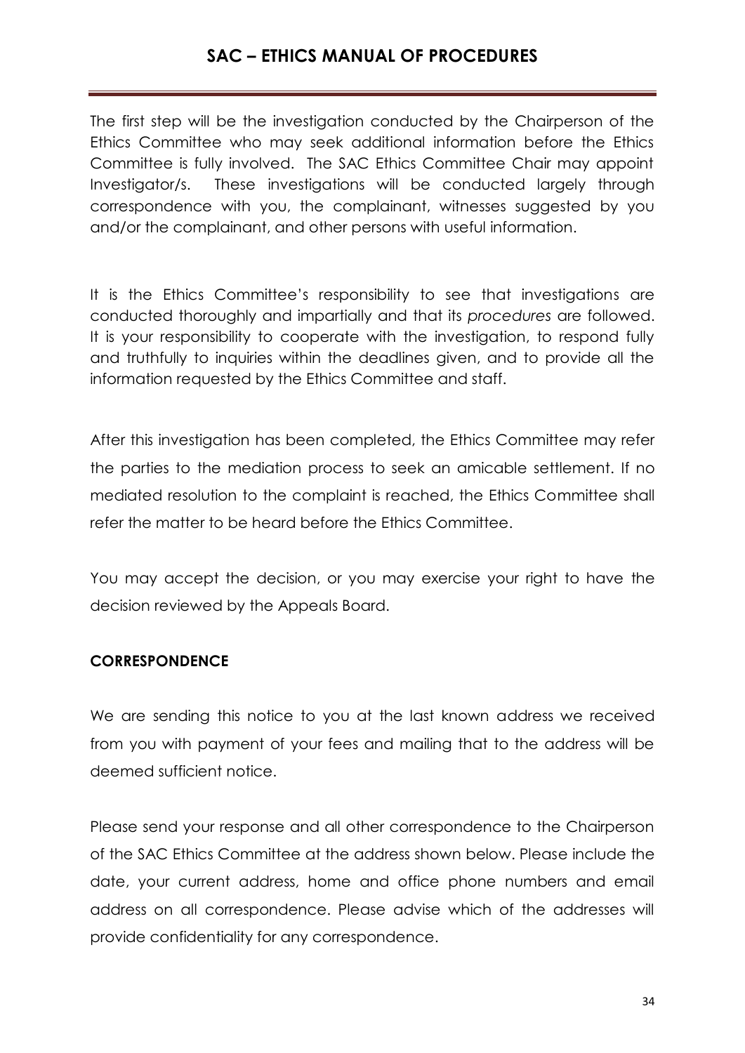The first step will be the investigation conducted by the Chairperson of the Ethics Committee who may seek additional information before the Ethics Committee is fully involved. The SAC Ethics Committee Chair may appoint Investigator/s. These investigations will be conducted largely through correspondence with you, the complainant, witnesses suggested by you and/or the complainant, and other persons with useful information.

It is the Ethics Committee's responsibility to see that investigations are conducted thoroughly and impartially and that its *procedures* are followed. It is your responsibility to cooperate with the investigation, to respond fully and truthfully to inquiries within the deadlines given, and to provide all the information requested by the Ethics Committee and staff.

After this investigation has been completed, the Ethics Committee may refer the parties to the mediation process to seek an amicable settlement. If no mediated resolution to the complaint is reached, the Ethics Committee shall refer the matter to be heard before the Ethics Committee.

You may accept the decision, or you may exercise your right to have the decision reviewed by the Appeals Board.

## **CORRESPONDENCE**

We are sending this notice to you at the last known address we received from you with payment of your fees and mailing that to the address will be deemed sufficient notice.

Please send your response and all other correspondence to the Chairperson of the SAC Ethics Committee at the address shown below. Please include the date, your current address, home and office phone numbers and email address on all correspondence. Please advise which of the addresses will provide confidentiality for any correspondence.